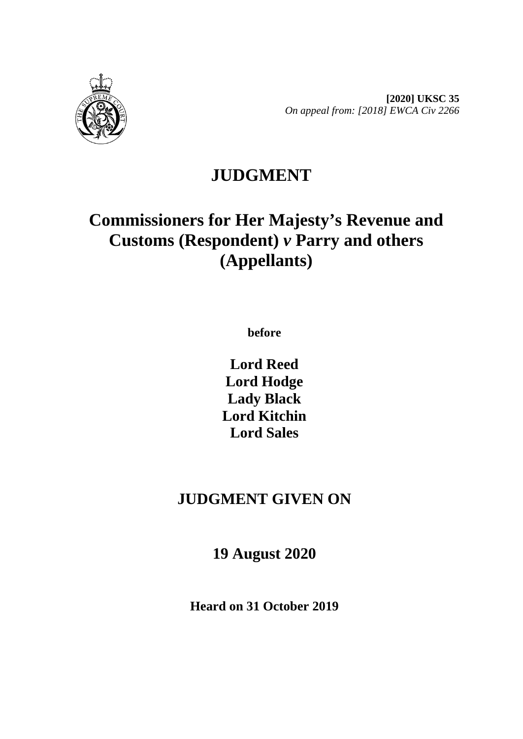

**[2020] UKSC 35** *On appeal from: [2018] EWCA Civ 2266*

# **JUDGMENT**

# **Commissioners for Her Majesty's Revenue and Customs (Respondent)** *v* **Parry and others (Appellants)**

**before** 

**Lord Reed Lord Hodge Lady Black Lord Kitchin Lord Sales**

# **JUDGMENT GIVEN ON**

**19 August 2020**

**Heard on 31 October 2019**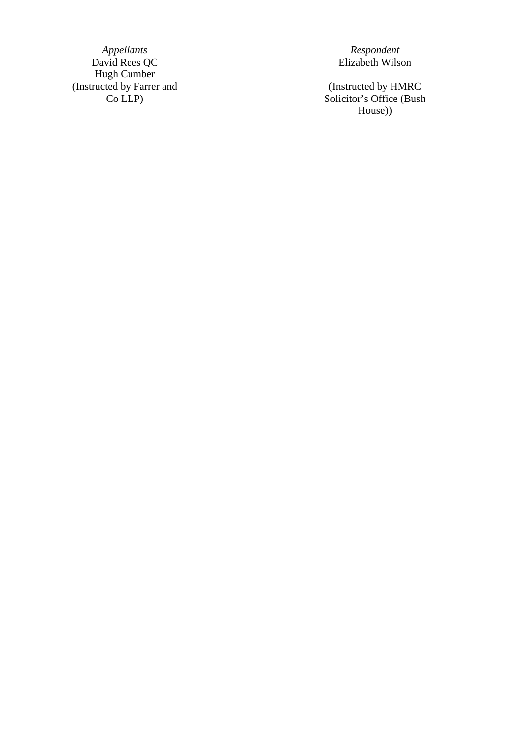*Appellants Respondent* David Rees QC **Elizabeth Wilson** Hugh Cumber (Instructed by Farrer and Co LLP )

(Instructed by HMRC Solicitor's Office (Bush House) )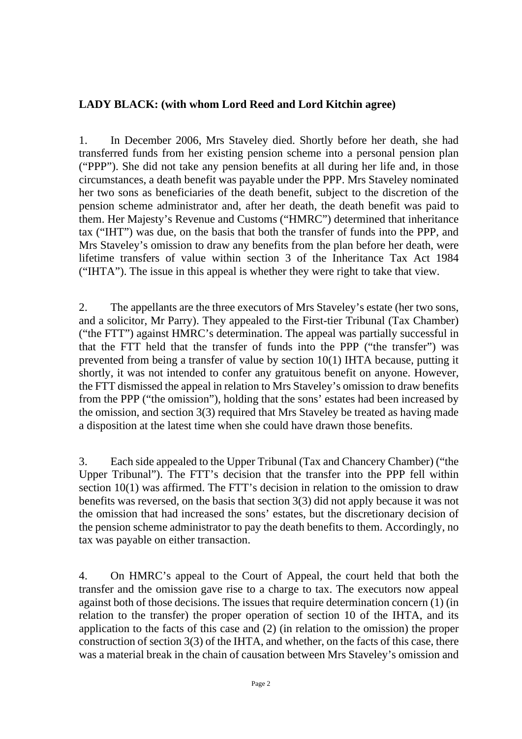#### **LADY BLACK: (with whom Lord Reed and Lord Kitchin agree)**

1. In December 2006, Mrs Staveley died. Shortly before her death, she had transferred funds from her existing pension scheme into a personal pension plan ("PPP"). She did not take any pension benefits at all during her life and, in those circumstances, a death benefit was payable under the PPP. Mrs Staveley nominated her two sons as beneficiaries of the death benefit, subject to the discretion of the pension scheme administrator and, after her death, the death benefit was paid to them. Her Majesty's Revenue and Customs ("HMRC") determined that inheritance tax ("IHT") was due, on the basis that both the transfer of funds into the PPP, and Mrs Staveley's omission to draw any benefits from the plan before her death, were lifetime transfers of value within section 3 of the Inheritance Tax Act 1984 ("IHTA"). The issue in this appeal is whether they were right to take that view.

2. The appellants are the three executors of Mrs Staveley's estate (her two sons, and a solicitor, Mr Parry). They appealed to the First-tier Tribunal (Tax Chamber) ("the FTT") against HMRC's determination. The appeal was partially successful in that the FTT held that the transfer of funds into the PPP ("the transfer") was prevented from being a transfer of value by section 10(1) IHTA because, putting it shortly, it was not intended to confer any gratuitous benefit on anyone. However, the FTT dismissed the appeal in relation to Mrs Staveley's omission to draw benefits from the PPP ("the omission"), holding that the sons' estates had been increased by the omission, and section 3(3) required that Mrs Staveley be treated as having made a disposition at the latest time when she could have drawn those benefits.

3. Each side appealed to the Upper Tribunal (Tax and Chancery Chamber) ("the Upper Tribunal"). The FTT's decision that the transfer into the PPP fell within section 10(1) was affirmed. The FTT's decision in relation to the omission to draw benefits was reversed, on the basis that section 3(3) did not apply because it was not the omission that had increased the sons' estates, but the discretionary decision of the pension scheme administrator to pay the death benefits to them. Accordingly, no tax was payable on either transaction.

4. On HMRC's appeal to the Court of Appeal, the court held that both the transfer and the omission gave rise to a charge to tax. The executors now appeal against both of those decisions. The issues that require determination concern (1) (in relation to the transfer) the proper operation of section 10 of the IHTA, and its application to the facts of this case and (2) (in relation to the omission) the proper construction of section 3(3) of the IHTA, and whether, on the facts of this case, there was a material break in the chain of causation between Mrs Staveley's omission and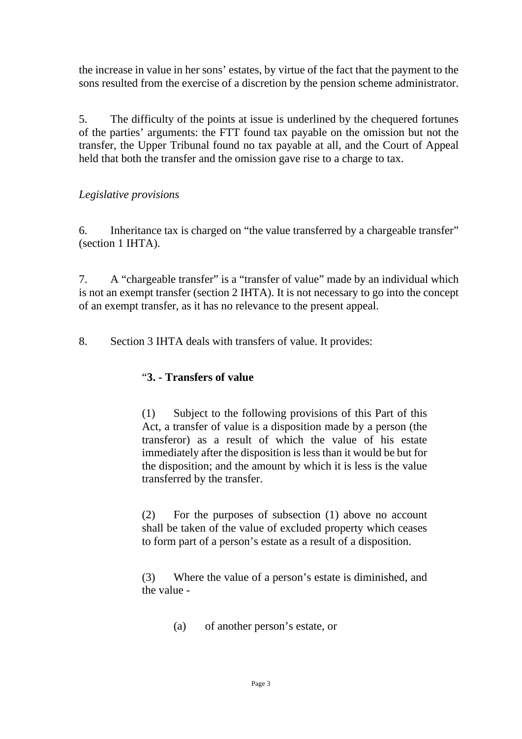the increase in value in her sons' estates, by virtue of the fact that the payment to the sons resulted from the exercise of a discretion by the pension scheme administrator.

5. The difficulty of the points at issue is underlined by the chequered fortunes of the parties' arguments: the FTT found tax payable on the omission but not the transfer, the Upper Tribunal found no tax payable at all, and the Court of Appeal held that both the transfer and the omission gave rise to a charge to tax.

## *Legislative provisions*

6. Inheritance tax is charged on "the value transferred by a chargeable transfer" (section 1 IHTA).

7. A "chargeable transfer" is a "transfer of value" made by an individual which is not an exempt transfer (section 2 IHTA). It is not necessary to go into the concept of an exempt transfer, as it has no relevance to the present appeal.

8. Section 3 IHTA deals with transfers of value. It provides:

#### "**3. - Transfers of value**

(1) Subject to the following provisions of this Part of this Act, a transfer of value is a disposition made by a person (the transferor) as a result of which the value of his estate immediately after the disposition is less than it would be but for the disposition; and the amount by which it is less is the value transferred by the transfer.

(2) For the purposes of subsection (1) above no account shall be taken of the value of excluded property which ceases to form part of a person's estate as a result of a disposition.

(3) Where the value of a person's estate is diminished, and the value -

(a) of another person's estate, or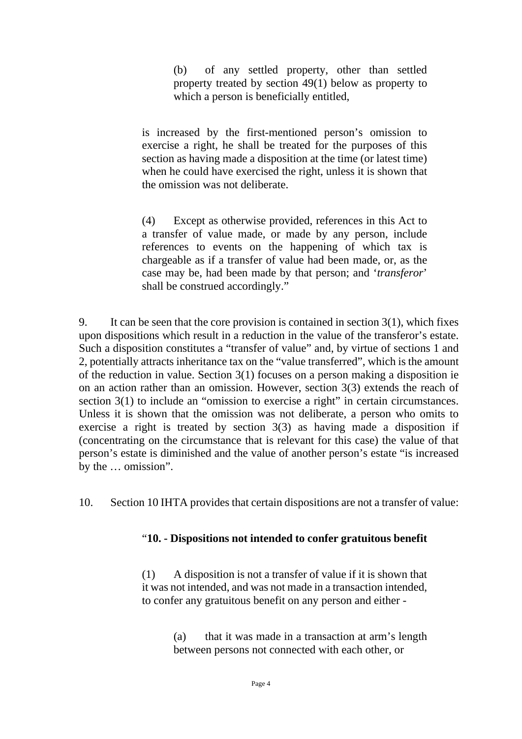(b) of any settled property, other than settled property treated by section 49(1) below as property to which a person is beneficially entitled,

is increased by the first-mentioned person's omission to exercise a right, he shall be treated for the purposes of this section as having made a disposition at the time (or latest time) when he could have exercised the right, unless it is shown that the omission was not deliberate.

(4) Except as otherwise provided, references in this Act to a transfer of value made, or made by any person, include references to events on the happening of which tax is chargeable as if a transfer of value had been made, or, as the case may be, had been made by that person; and '*transferor*' shall be construed accordingly."

9. It can be seen that the core provision is contained in section 3(1), which fixes upon dispositions which result in a reduction in the value of the transferor's estate. Such a disposition constitutes a "transfer of value" and, by virtue of sections 1 and 2, potentially attracts inheritance tax on the "value transferred", which is the amount of the reduction in value. Section 3(1) focuses on a person making a disposition ie on an action rather than an omission. However, section 3(3) extends the reach of section 3(1) to include an "omission to exercise a right" in certain circumstances. Unless it is shown that the omission was not deliberate, a person who omits to exercise a right is treated by section 3(3) as having made a disposition if (concentrating on the circumstance that is relevant for this case) the value of that person's estate is diminished and the value of another person's estate "is increased by the … omission".

10. Section 10 IHTA provides that certain dispositions are not a transfer of value:

#### "**10. - Dispositions not intended to confer gratuitous benefit**

(1) A disposition is not a transfer of value if it is shown that it was not intended, and was not made in a transaction intended, to confer any gratuitous benefit on any person and either -

> (a) that it was made in a transaction at arm's length between persons not connected with each other, or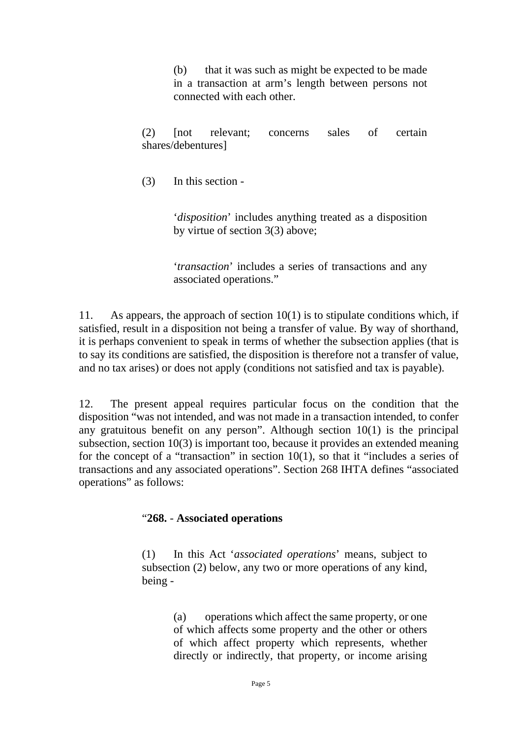(b) that it was such as might be expected to be made in a transaction at arm's length between persons not connected with each other.

(2) [not relevant; concerns sales of certain shares/debentures]

(3) In this section -

'*disposition*' includes anything treated as a disposition by virtue of section 3(3) above;

'*transaction*' includes a series of transactions and any associated operations."

11. As appears, the approach of section  $10(1)$  is to stipulate conditions which, if satisfied, result in a disposition not being a transfer of value. By way of shorthand, it is perhaps convenient to speak in terms of whether the subsection applies (that is to say its conditions are satisfied, the disposition is therefore not a transfer of value, and no tax arises) or does not apply (conditions not satisfied and tax is payable).

12. The present appeal requires particular focus on the condition that the disposition "was not intended, and was not made in a transaction intended, to confer any gratuitous benefit on any person". Although section 10(1) is the principal subsection, section 10(3) is important too, because it provides an extended meaning for the concept of a "transaction" in section 10(1), so that it "includes a series of transactions and any associated operations". Section 268 IHTA defines "associated operations" as follows:

#### "**268.** - **Associated operations**

(1) In this Act '*associated operations*' means, subject to subsection (2) below, any two or more operations of any kind, being -

> (a) operations which affect the same property, or one of which affects some property and the other or others of which affect property which represents, whether directly or indirectly, that property, or income arising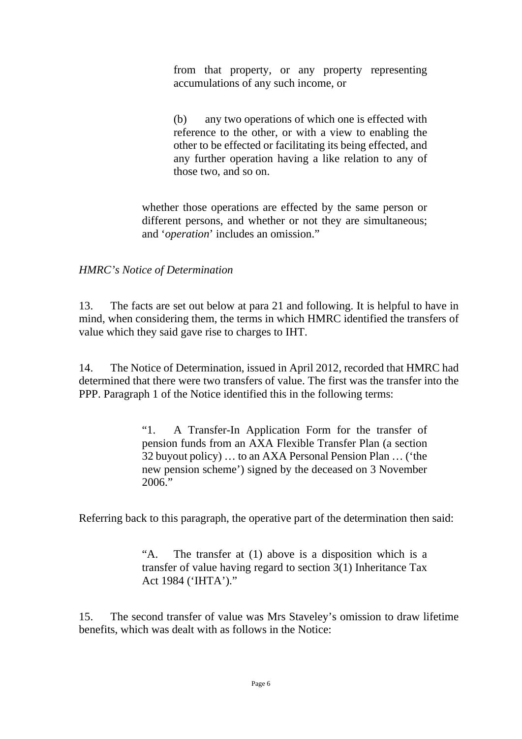from that property, or any property representing accumulations of any such income, or

(b) any two operations of which one is effected with reference to the other, or with a view to enabling the other to be effected or facilitating its being effected, and any further operation having a like relation to any of those two, and so on.

whether those operations are effected by the same person or different persons, and whether or not they are simultaneous; and '*operation*' includes an omission."

#### *HMRC's Notice of Determination*

13. The facts are set out below at para 21 and following. It is helpful to have in mind, when considering them, the terms in which HMRC identified the transfers of value which they said gave rise to charges to IHT.

14. The Notice of Determination, issued in April 2012, recorded that HMRC had determined that there were two transfers of value. The first was the transfer into the PPP. Paragraph 1 of the Notice identified this in the following terms:

> "1. A Transfer-In Application Form for the transfer of pension funds from an AXA Flexible Transfer Plan (a section 32 buyout policy) … to an AXA Personal Pension Plan … ('the new pension scheme') signed by the deceased on 3 November 2006."

Referring back to this paragraph, the operative part of the determination then said:

"A. The transfer at (1) above is a disposition which is a transfer of value having regard to section 3(1) Inheritance Tax Act 1984 ('IHTA')."

15. The second transfer of value was Mrs Staveley's omission to draw lifetime benefits, which was dealt with as follows in the Notice: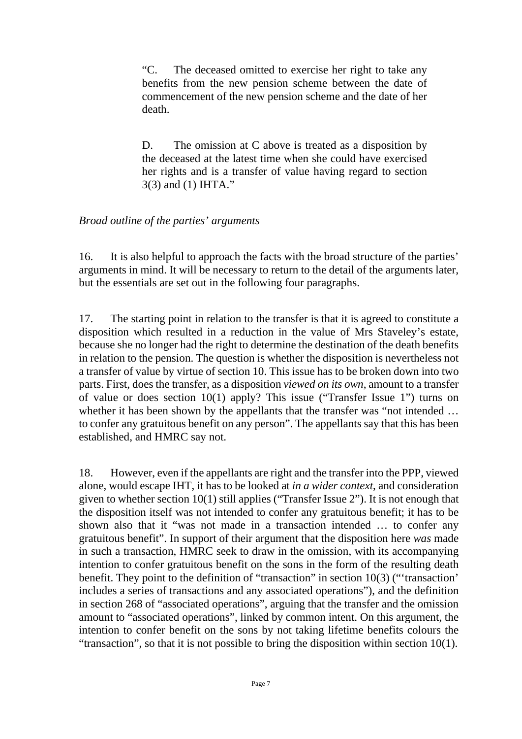"C. The deceased omitted to exercise her right to take any benefits from the new pension scheme between the date of commencement of the new pension scheme and the date of her death.

D. The omission at C above is treated as a disposition by the deceased at the latest time when she could have exercised her rights and is a transfer of value having regard to section 3(3) and (1) IHTA."

#### *Broad outline of the parties' arguments*

16. It is also helpful to approach the facts with the broad structure of the parties' arguments in mind. It will be necessary to return to the detail of the arguments later, but the essentials are set out in the following four paragraphs.

17. The starting point in relation to the transfer is that it is agreed to constitute a disposition which resulted in a reduction in the value of Mrs Staveley's estate, because she no longer had the right to determine the destination of the death benefits in relation to the pension. The question is whether the disposition is nevertheless not a transfer of value by virtue of section 10. This issue has to be broken down into two parts. First, does the transfer, as a disposition *viewed on its own*, amount to a transfer of value or does section 10(1) apply? This issue ("Transfer Issue 1") turns on whether it has been shown by the appellants that the transfer was "not intended ... to confer any gratuitous benefit on any person". The appellants say that this has been established, and HMRC say not.

18. However, even if the appellants are right and the transfer into the PPP, viewed alone, would escape IHT, it has to be looked at *in a wider context*, and consideration given to whether section 10(1) still applies ("Transfer Issue 2"). It is not enough that the disposition itself was not intended to confer any gratuitous benefit; it has to be shown also that it "was not made in a transaction intended … to confer any gratuitous benefit". In support of their argument that the disposition here *was* made in such a transaction, HMRC seek to draw in the omission, with its accompanying intention to confer gratuitous benefit on the sons in the form of the resulting death benefit. They point to the definition of "transaction" in section 10(3) ("'transaction' includes a series of transactions and any associated operations"), and the definition in section 268 of "associated operations", arguing that the transfer and the omission amount to "associated operations", linked by common intent. On this argument, the intention to confer benefit on the sons by not taking lifetime benefits colours the "transaction", so that it is not possible to bring the disposition within section 10(1).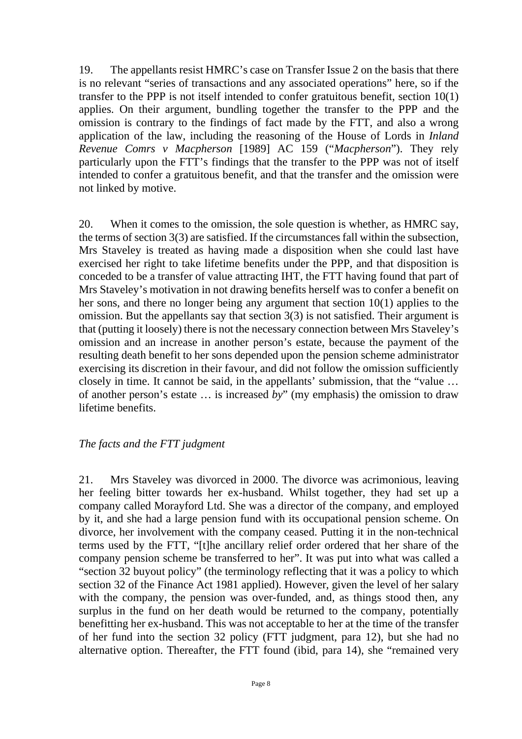19. The appellants resist HMRC's case on Transfer Issue 2 on the basis that there is no relevant "series of transactions and any associated operations" here, so if the transfer to the PPP is not itself intended to confer gratuitous benefit, section 10(1) applies. On their argument, bundling together the transfer to the PPP and the omission is contrary to the findings of fact made by the FTT, and also a wrong application of the law, including the reasoning of the House of Lords in *Inland Revenue Comrs v Macpherson* [1989] AC 159 ("*Macpherson*"). They rely particularly upon the FTT's findings that the transfer to the PPP was not of itself intended to confer a gratuitous benefit, and that the transfer and the omission were not linked by motive.

20. When it comes to the omission, the sole question is whether, as HMRC say, the terms of section 3(3) are satisfied. If the circumstances fall within the subsection, Mrs Staveley is treated as having made a disposition when she could last have exercised her right to take lifetime benefits under the PPP, and that disposition is conceded to be a transfer of value attracting IHT, the FTT having found that part of Mrs Staveley's motivation in not drawing benefits herself was to confer a benefit on her sons, and there no longer being any argument that section 10(1) applies to the omission. But the appellants say that section 3(3) is not satisfied. Their argument is that (putting it loosely) there is not the necessary connection between Mrs Staveley's omission and an increase in another person's estate, because the payment of the resulting death benefit to her sons depended upon the pension scheme administrator exercising its discretion in their favour, and did not follow the omission sufficiently closely in time. It cannot be said, in the appellants' submission, that the "value … of another person's estate … is increased *by*" (my emphasis) the omission to draw lifetime benefits.

#### *The facts and the FTT judgment*

21. Mrs Staveley was divorced in 2000. The divorce was acrimonious, leaving her feeling bitter towards her ex-husband. Whilst together, they had set up a company called Morayford Ltd. She was a director of the company, and employed by it, and she had a large pension fund with its occupational pension scheme. On divorce, her involvement with the company ceased. Putting it in the non-technical terms used by the FTT, "[t]he ancillary relief order ordered that her share of the company pension scheme be transferred to her". It was put into what was called a "section 32 buyout policy" (the terminology reflecting that it was a policy to which section 32 of the Finance Act 1981 applied). However, given the level of her salary with the company, the pension was over-funded, and, as things stood then, any surplus in the fund on her death would be returned to the company, potentially benefitting her ex-husband. This was not acceptable to her at the time of the transfer of her fund into the section 32 policy (FTT judgment, para 12), but she had no alternative option. Thereafter, the FTT found (ibid, para 14), she "remained very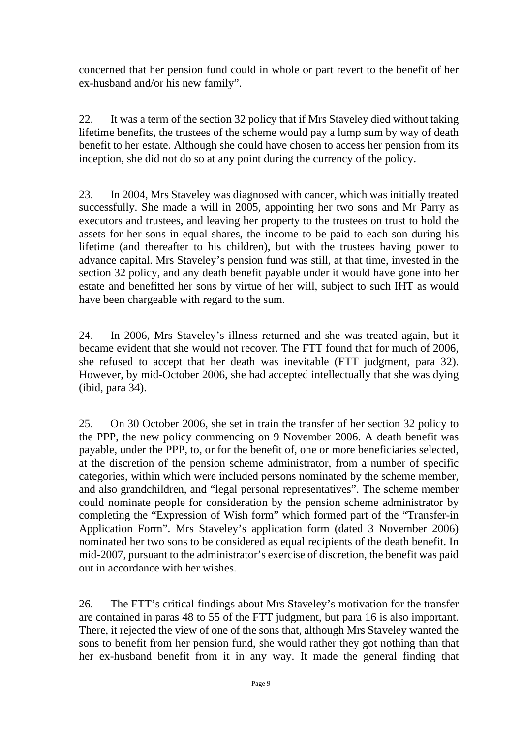concerned that her pension fund could in whole or part revert to the benefit of her ex-husband and/or his new family".

22. It was a term of the section 32 policy that if Mrs Staveley died without taking lifetime benefits, the trustees of the scheme would pay a lump sum by way of death benefit to her estate. Although she could have chosen to access her pension from its inception, she did not do so at any point during the currency of the policy.

23. In 2004, Mrs Staveley was diagnosed with cancer, which was initially treated successfully. She made a will in 2005, appointing her two sons and Mr Parry as executors and trustees, and leaving her property to the trustees on trust to hold the assets for her sons in equal shares, the income to be paid to each son during his lifetime (and thereafter to his children), but with the trustees having power to advance capital. Mrs Staveley's pension fund was still, at that time, invested in the section 32 policy, and any death benefit payable under it would have gone into her estate and benefitted her sons by virtue of her will, subject to such IHT as would have been chargeable with regard to the sum.

24. In 2006, Mrs Staveley's illness returned and she was treated again, but it became evident that she would not recover. The FTT found that for much of 2006, she refused to accept that her death was inevitable (FTT judgment, para 32). However, by mid-October 2006, she had accepted intellectually that she was dying (ibid, para 34).

25. On 30 October 2006, she set in train the transfer of her section 32 policy to the PPP, the new policy commencing on 9 November 2006. A death benefit was payable, under the PPP, to, or for the benefit of, one or more beneficiaries selected, at the discretion of the pension scheme administrator, from a number of specific categories, within which were included persons nominated by the scheme member, and also grandchildren, and "legal personal representatives". The scheme member could nominate people for consideration by the pension scheme administrator by completing the "Expression of Wish form" which formed part of the "Transfer-in Application Form". Mrs Staveley's application form (dated 3 November 2006) nominated her two sons to be considered as equal recipients of the death benefit. In mid-2007, pursuant to the administrator's exercise of discretion, the benefit was paid out in accordance with her wishes.

26. The FTT's critical findings about Mrs Staveley's motivation for the transfer are contained in paras 48 to 55 of the FTT judgment, but para 16 is also important. There, it rejected the view of one of the sons that, although Mrs Staveley wanted the sons to benefit from her pension fund, she would rather they got nothing than that her ex-husband benefit from it in any way. It made the general finding that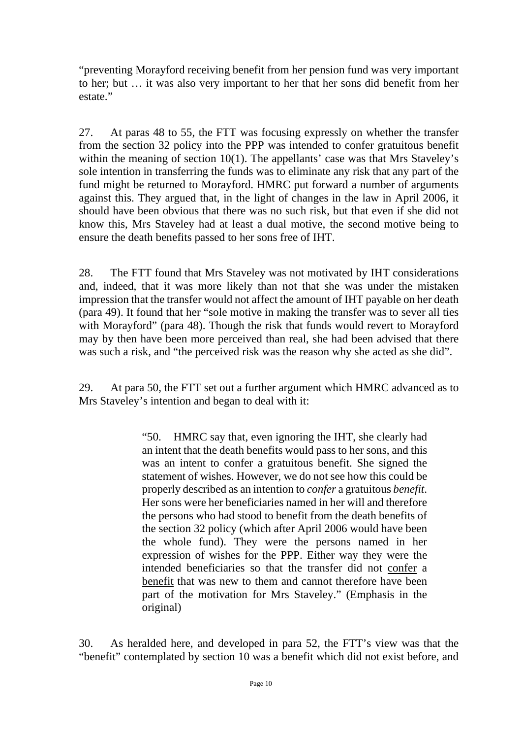"preventing Morayford receiving benefit from her pension fund was very important to her; but … it was also very important to her that her sons did benefit from her estate."

27. At paras 48 to 55, the FTT was focusing expressly on whether the transfer from the section 32 policy into the PPP was intended to confer gratuitous benefit within the meaning of section 10(1). The appellants' case was that Mrs Staveley's sole intention in transferring the funds was to eliminate any risk that any part of the fund might be returned to Morayford. HMRC put forward a number of arguments against this. They argued that, in the light of changes in the law in April 2006, it should have been obvious that there was no such risk, but that even if she did not know this, Mrs Staveley had at least a dual motive, the second motive being to ensure the death benefits passed to her sons free of IHT.

28. The FTT found that Mrs Staveley was not motivated by IHT considerations and, indeed, that it was more likely than not that she was under the mistaken impression that the transfer would not affect the amount of IHT payable on her death (para 49). It found that her "sole motive in making the transfer was to sever all ties with Morayford" (para 48). Though the risk that funds would revert to Morayford may by then have been more perceived than real, she had been advised that there was such a risk, and "the perceived risk was the reason why she acted as she did".

29. At para 50, the FTT set out a further argument which HMRC advanced as to Mrs Staveley's intention and began to deal with it:

> "50. HMRC say that, even ignoring the IHT, she clearly had an intent that the death benefits would pass to her sons, and this was an intent to confer a gratuitous benefit. She signed the statement of wishes. However, we do not see how this could be properly described as an intention to *confer* a gratuitous *benefit*. Her sons were her beneficiaries named in her will and therefore the persons who had stood to benefit from the death benefits of the section 32 policy (which after April 2006 would have been the whole fund). They were the persons named in her expression of wishes for the PPP. Either way they were the intended beneficiaries so that the transfer did not confer a benefit that was new to them and cannot therefore have been part of the motivation for Mrs Staveley." (Emphasis in the original)

30. As heralded here, and developed in para 52, the FTT's view was that the "benefit" contemplated by section 10 was a benefit which did not exist before, and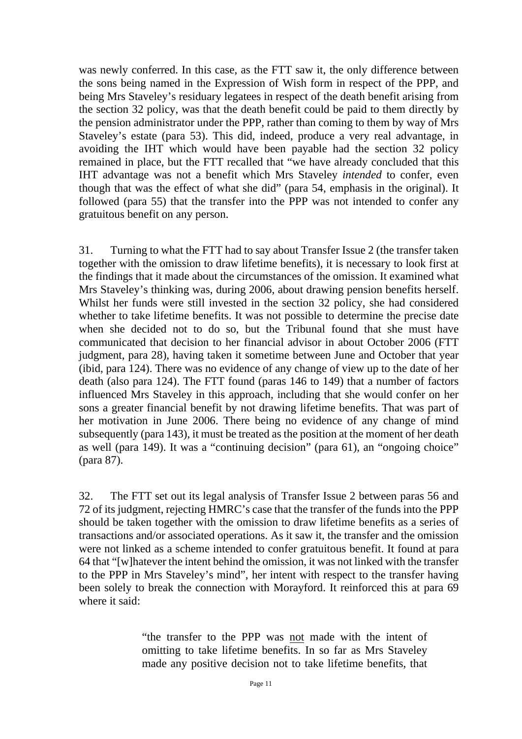was newly conferred. In this case, as the FTT saw it, the only difference between the sons being named in the Expression of Wish form in respect of the PPP, and being Mrs Staveley's residuary legatees in respect of the death benefit arising from the section 32 policy, was that the death benefit could be paid to them directly by the pension administrator under the PPP, rather than coming to them by way of Mrs Staveley's estate (para 53). This did, indeed, produce a very real advantage, in avoiding the IHT which would have been payable had the section 32 policy remained in place, but the FTT recalled that "we have already concluded that this IHT advantage was not a benefit which Mrs Staveley *intended* to confer, even though that was the effect of what she did" (para 54, emphasis in the original). It followed (para 55) that the transfer into the PPP was not intended to confer any gratuitous benefit on any person.

31. Turning to what the FTT had to say about Transfer Issue 2 (the transfer taken together with the omission to draw lifetime benefits), it is necessary to look first at the findings that it made about the circumstances of the omission. It examined what Mrs Staveley's thinking was, during 2006, about drawing pension benefits herself. Whilst her funds were still invested in the section 32 policy, she had considered whether to take lifetime benefits. It was not possible to determine the precise date when she decided not to do so, but the Tribunal found that she must have communicated that decision to her financial advisor in about October 2006 (FTT judgment, para 28), having taken it sometime between June and October that year (ibid, para 124). There was no evidence of any change of view up to the date of her death (also para 124). The FTT found (paras 146 to 149) that a number of factors influenced Mrs Staveley in this approach, including that she would confer on her sons a greater financial benefit by not drawing lifetime benefits. That was part of her motivation in June 2006. There being no evidence of any change of mind subsequently (para 143), it must be treated as the position at the moment of her death as well (para 149). It was a "continuing decision" (para 61), an "ongoing choice" (para 87).

32. The FTT set out its legal analysis of Transfer Issue 2 between paras 56 and 72 of its judgment, rejecting HMRC's case that the transfer of the funds into the PPP should be taken together with the omission to draw lifetime benefits as a series of transactions and/or associated operations. As it saw it, the transfer and the omission were not linked as a scheme intended to confer gratuitous benefit. It found at para 64 that "[w]hatever the intent behind the omission, it was not linked with the transfer to the PPP in Mrs Staveley's mind", her intent with respect to the transfer having been solely to break the connection with Morayford. It reinforced this at para 69 where it said:

> "the transfer to the PPP was not made with the intent of omitting to take lifetime benefits. In so far as Mrs Staveley made any positive decision not to take lifetime benefits, that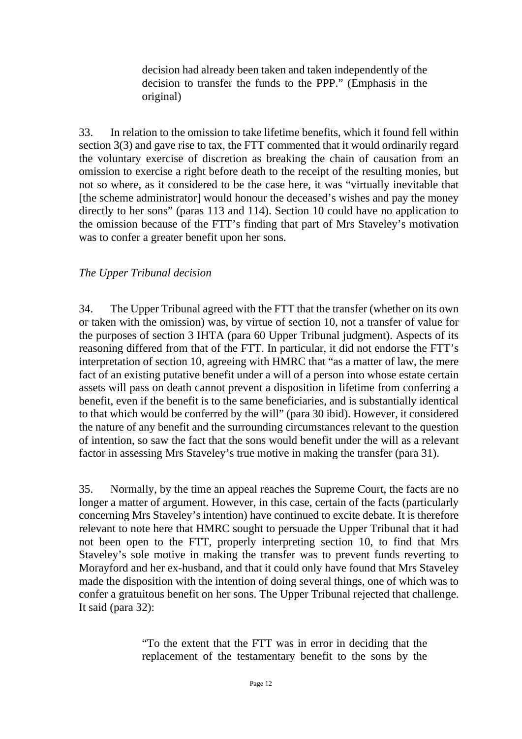decision had already been taken and taken independently of the decision to transfer the funds to the PPP." (Emphasis in the original)

33. In relation to the omission to take lifetime benefits, which it found fell within section 3(3) and gave rise to tax, the FTT commented that it would ordinarily regard the voluntary exercise of discretion as breaking the chain of causation from an omission to exercise a right before death to the receipt of the resulting monies, but not so where, as it considered to be the case here, it was "virtually inevitable that [the scheme administrator] would honour the deceased's wishes and pay the money directly to her sons" (paras 113 and 114). Section 10 could have no application to the omission because of the FTT's finding that part of Mrs Staveley's motivation was to confer a greater benefit upon her sons.

#### *The Upper Tribunal decision*

34. The Upper Tribunal agreed with the FTT that the transfer (whether on its own or taken with the omission) was, by virtue of section 10, not a transfer of value for the purposes of section 3 IHTA (para 60 Upper Tribunal judgment). Aspects of its reasoning differed from that of the FTT. In particular, it did not endorse the FTT's interpretation of section 10, agreeing with HMRC that "as a matter of law, the mere fact of an existing putative benefit under a will of a person into whose estate certain assets will pass on death cannot prevent a disposition in lifetime from conferring a benefit, even if the benefit is to the same beneficiaries, and is substantially identical to that which would be conferred by the will" (para 30 ibid). However, it considered the nature of any benefit and the surrounding circumstances relevant to the question of intention, so saw the fact that the sons would benefit under the will as a relevant factor in assessing Mrs Staveley's true motive in making the transfer (para 31).

35. Normally, by the time an appeal reaches the Supreme Court, the facts are no longer a matter of argument. However, in this case, certain of the facts (particularly concerning Mrs Staveley's intention) have continued to excite debate. It is therefore relevant to note here that HMRC sought to persuade the Upper Tribunal that it had not been open to the FTT, properly interpreting section 10, to find that Mrs Staveley's sole motive in making the transfer was to prevent funds reverting to Morayford and her ex-husband, and that it could only have found that Mrs Staveley made the disposition with the intention of doing several things, one of which was to confer a gratuitous benefit on her sons. The Upper Tribunal rejected that challenge. It said (para 32):

> "To the extent that the FTT was in error in deciding that the replacement of the testamentary benefit to the sons by the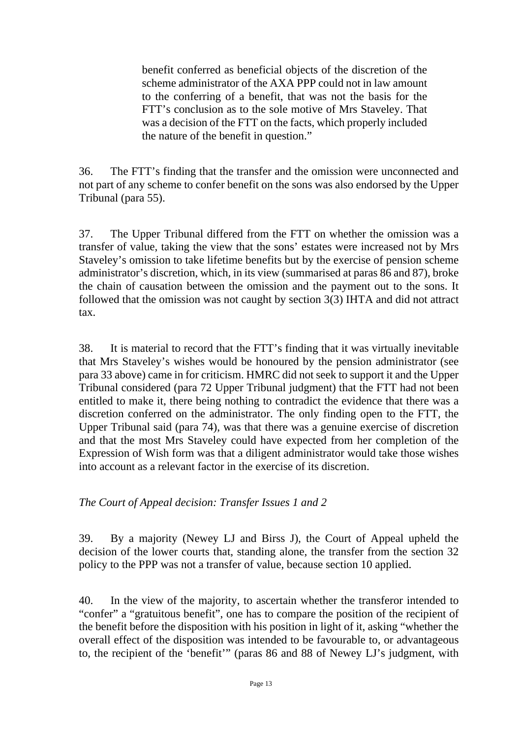benefit conferred as beneficial objects of the discretion of the scheme administrator of the AXA PPP could not in law amount to the conferring of a benefit, that was not the basis for the FTT's conclusion as to the sole motive of Mrs Staveley. That was a decision of the FTT on the facts, which properly included the nature of the benefit in question."

36. The FTT's finding that the transfer and the omission were unconnected and not part of any scheme to confer benefit on the sons was also endorsed by the Upper Tribunal (para 55).

37. The Upper Tribunal differed from the FTT on whether the omission was a transfer of value, taking the view that the sons' estates were increased not by Mrs Staveley's omission to take lifetime benefits but by the exercise of pension scheme administrator's discretion, which, in its view (summarised at paras 86 and 87), broke the chain of causation between the omission and the payment out to the sons. It followed that the omission was not caught by section 3(3) IHTA and did not attract tax.

38. It is material to record that the FTT's finding that it was virtually inevitable that Mrs Staveley's wishes would be honoured by the pension administrator (see para 33 above) came in for criticism. HMRC did not seek to support it and the Upper Tribunal considered (para 72 Upper Tribunal judgment) that the FTT had not been entitled to make it, there being nothing to contradict the evidence that there was a discretion conferred on the administrator. The only finding open to the FTT, the Upper Tribunal said (para 74), was that there was a genuine exercise of discretion and that the most Mrs Staveley could have expected from her completion of the Expression of Wish form was that a diligent administrator would take those wishes into account as a relevant factor in the exercise of its discretion.

## *The Court of Appeal decision: Transfer Issues 1 and 2*

39. By a majority (Newey LJ and Birss J), the Court of Appeal upheld the decision of the lower courts that, standing alone, the transfer from the section 32 policy to the PPP was not a transfer of value, because section 10 applied.

40. In the view of the majority, to ascertain whether the transferor intended to "confer" a "gratuitous benefit", one has to compare the position of the recipient of the benefit before the disposition with his position in light of it, asking "whether the overall effect of the disposition was intended to be favourable to, or advantageous to, the recipient of the 'benefit'" (paras 86 and 88 of Newey LJ's judgment, with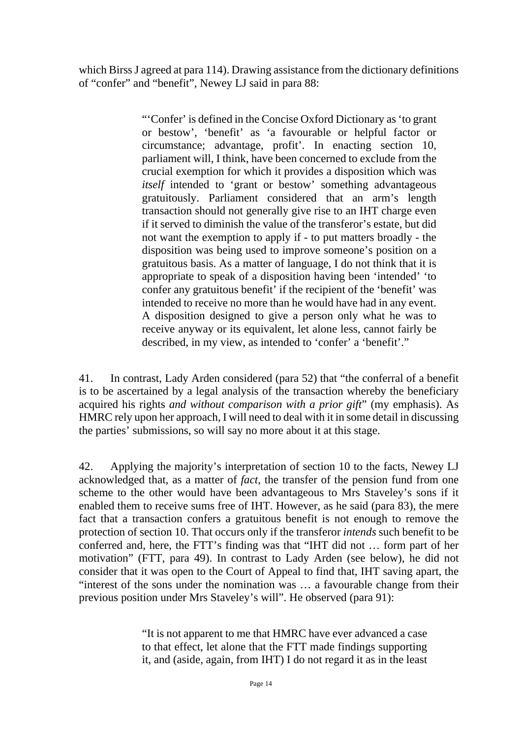which Birss J agreed at para 114). Drawing assistance from the dictionary definitions of "confer" and "benefit", Newey LJ said in para 88:

> "'Confer' is defined in the Concise Oxford Dictionary as 'to grant or bestow', 'benefit' as 'a favourable or helpful factor or circumstance; advantage, profit'. In enacting section 10, parliament will, I think, have been concerned to exclude from the crucial exemption for which it provides a disposition which was *itself* intended to 'grant or bestow' something advantageous gratuitously. Parliament considered that an arm's length transaction should not generally give rise to an IHT charge even if it served to diminish the value of the transferor's estate, but did not want the exemption to apply if - to put matters broadly - the disposition was being used to improve someone's position on a gratuitous basis. As a matter of language, I do not think that it is appropriate to speak of a disposition having been 'intended' 'to confer any gratuitous benefit' if the recipient of the 'benefit' was intended to receive no more than he would have had in any event. A disposition designed to give a person only what he was to receive anyway or its equivalent, let alone less, cannot fairly be described, in my view, as intended to 'confer' a 'benefit'."

41. In contrast, Lady Arden considered (para 52) that "the conferral of a benefit is to be ascertained by a legal analysis of the transaction whereby the beneficiary acquired his rights *and without comparison with a prior gift*" (my emphasis). As HMRC rely upon her approach, I will need to deal with it in some detail in discussing the parties' submissions, so will say no more about it at this stage.

42. Applying the majority's interpretation of section 10 to the facts, Newey LJ acknowledged that, as a matter of *fact*, the transfer of the pension fund from one scheme to the other would have been advantageous to Mrs Staveley's sons if it enabled them to receive sums free of IHT. However, as he said (para 83), the mere fact that a transaction confers a gratuitous benefit is not enough to remove the protection of section 10. That occurs only if the transferor *intends* such benefit to be conferred and, here, the FTT's finding was that "IHT did not … form part of her motivation" (FTT, para 49). In contrast to Lady Arden (see below), he did not consider that it was open to the Court of Appeal to find that, IHT saving apart, the "interest of the sons under the nomination was … a favourable change from their previous position under Mrs Staveley's will". He observed (para 91):

> "It is not apparent to me that HMRC have ever advanced a case to that effect, let alone that the FTT made findings supporting it, and (aside, again, from IHT) I do not regard it as in the least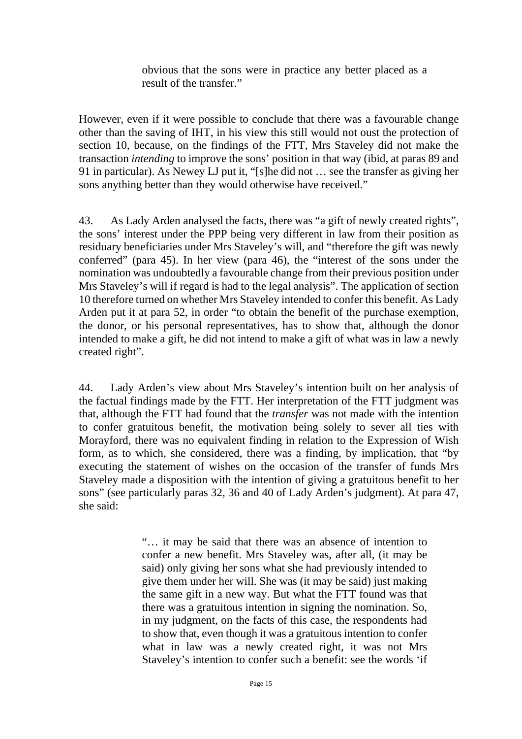obvious that the sons were in practice any better placed as a result of the transfer."

However, even if it were possible to conclude that there was a favourable change other than the saving of IHT, in his view this still would not oust the protection of section 10, because, on the findings of the FTT, Mrs Staveley did not make the transaction *intending* to improve the sons' position in that way (ibid, at paras 89 and 91 in particular). As Newey LJ put it, "[s]he did not … see the transfer as giving her sons anything better than they would otherwise have received."

43. As Lady Arden analysed the facts, there was "a gift of newly created rights", the sons' interest under the PPP being very different in law from their position as residuary beneficiaries under Mrs Staveley's will, and "therefore the gift was newly conferred" (para 45). In her view (para 46), the "interest of the sons under the nomination was undoubtedly a favourable change from their previous position under Mrs Staveley's will if regard is had to the legal analysis". The application of section 10 therefore turned on whether Mrs Staveley intended to confer this benefit. As Lady Arden put it at para 52, in order "to obtain the benefit of the purchase exemption, the donor, or his personal representatives, has to show that, although the donor intended to make a gift, he did not intend to make a gift of what was in law a newly created right".

44. Lady Arden's view about Mrs Staveley's intention built on her analysis of the factual findings made by the FTT. Her interpretation of the FTT judgment was that, although the FTT had found that the *transfer* was not made with the intention to confer gratuitous benefit, the motivation being solely to sever all ties with Morayford, there was no equivalent finding in relation to the Expression of Wish form, as to which, she considered, there was a finding, by implication, that "by executing the statement of wishes on the occasion of the transfer of funds Mrs Staveley made a disposition with the intention of giving a gratuitous benefit to her sons" (see particularly paras 32, 36 and 40 of Lady Arden's judgment). At para 47, she said:

> "… it may be said that there was an absence of intention to confer a new benefit. Mrs Staveley was, after all, (it may be said) only giving her sons what she had previously intended to give them under her will. She was (it may be said) just making the same gift in a new way. But what the FTT found was that there was a gratuitous intention in signing the nomination. So, in my judgment, on the facts of this case, the respondents had to show that, even though it was a gratuitous intention to confer what in law was a newly created right, it was not Mrs Staveley's intention to confer such a benefit: see the words 'if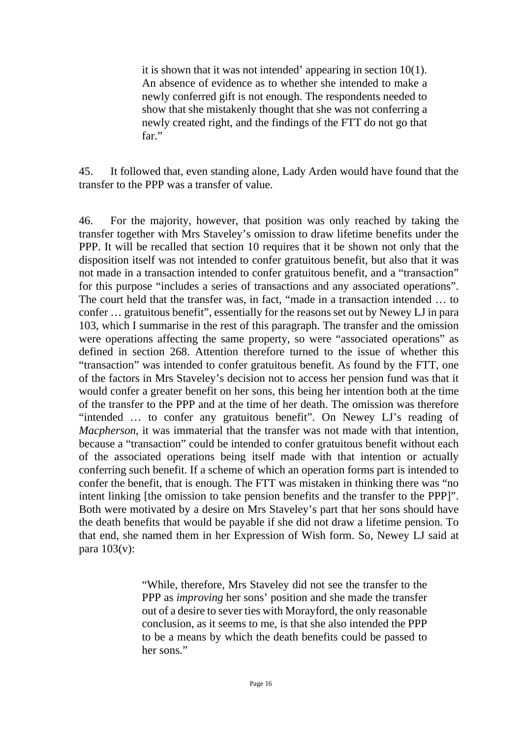it is shown that it was not intended' appearing in section 10(1). An absence of evidence as to whether she intended to make a newly conferred gift is not enough. The respondents needed to show that she mistakenly thought that she was not conferring a newly created right, and the findings of the FTT do not go that far."

45. It followed that, even standing alone, Lady Arden would have found that the transfer to the PPP was a transfer of value.

46. For the majority, however, that position was only reached by taking the transfer together with Mrs Staveley's omission to draw lifetime benefits under the PPP. It will be recalled that section 10 requires that it be shown not only that the disposition itself was not intended to confer gratuitous benefit, but also that it was not made in a transaction intended to confer gratuitous benefit, and a "transaction" for this purpose "includes a series of transactions and any associated operations". The court held that the transfer was, in fact, "made in a transaction intended … to confer … gratuitous benefit", essentially for the reasons set out by Newey LJ in para 103, which I summarise in the rest of this paragraph. The transfer and the omission were operations affecting the same property, so were "associated operations" as defined in section 268. Attention therefore turned to the issue of whether this "transaction" was intended to confer gratuitous benefit. As found by the FTT, one of the factors in Mrs Staveley's decision not to access her pension fund was that it would confer a greater benefit on her sons, this being her intention both at the time of the transfer to the PPP and at the time of her death. The omission was therefore "intended … to confer any gratuitous benefit". On Newey LJ's reading of *Macpherson*, it was immaterial that the transfer was not made with that intention, because a "transaction" could be intended to confer gratuitous benefit without each of the associated operations being itself made with that intention or actually conferring such benefit. If a scheme of which an operation forms part is intended to confer the benefit, that is enough. The FTT was mistaken in thinking there was "no intent linking [the omission to take pension benefits and the transfer to the PPP]". Both were motivated by a desire on Mrs Staveley's part that her sons should have the death benefits that would be payable if she did not draw a lifetime pension. To that end, she named them in her Expression of Wish form. So, Newey LJ said at para  $103(v)$ :

> "While, therefore, Mrs Staveley did not see the transfer to the PPP as *improving* her sons' position and she made the transfer out of a desire to sever ties with Morayford, the only reasonable conclusion, as it seems to me, is that she also intended the PPP to be a means by which the death benefits could be passed to her sons."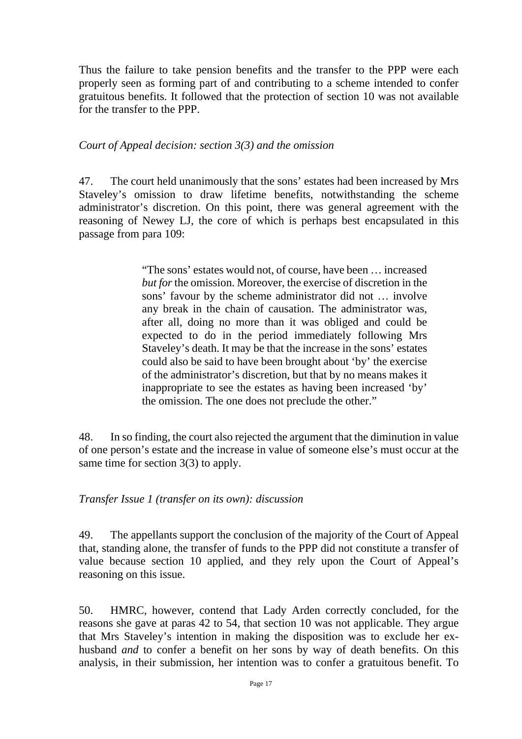Thus the failure to take pension benefits and the transfer to the PPP were each properly seen as forming part of and contributing to a scheme intended to confer gratuitous benefits. It followed that the protection of section 10 was not available for the transfer to the PPP.

#### *Court of Appeal decision: section 3(3) and the omission*

47. The court held unanimously that the sons' estates had been increased by Mrs Staveley's omission to draw lifetime benefits, notwithstanding the scheme administrator's discretion. On this point, there was general agreement with the reasoning of Newey LJ, the core of which is perhaps best encapsulated in this passage from para 109:

> "The sons' estates would not, of course, have been … increased *but for* the omission. Moreover, the exercise of discretion in the sons' favour by the scheme administrator did not … involve any break in the chain of causation. The administrator was, after all, doing no more than it was obliged and could be expected to do in the period immediately following Mrs Staveley's death. It may be that the increase in the sons' estates could also be said to have been brought about 'by' the exercise of the administrator's discretion, but that by no means makes it inappropriate to see the estates as having been increased 'by' the omission. The one does not preclude the other."

48. In so finding, the court also rejected the argument that the diminution in value of one person's estate and the increase in value of someone else's must occur at the same time for section 3(3) to apply.

#### *Transfer Issue 1 (transfer on its own): discussion*

49. The appellants support the conclusion of the majority of the Court of Appeal that, standing alone, the transfer of funds to the PPP did not constitute a transfer of value because section 10 applied, and they rely upon the Court of Appeal's reasoning on this issue.

50. HMRC, however, contend that Lady Arden correctly concluded, for the reasons she gave at paras 42 to 54, that section 10 was not applicable. They argue that Mrs Staveley's intention in making the disposition was to exclude her exhusband *and* to confer a benefit on her sons by way of death benefits. On this analysis, in their submission, her intention was to confer a gratuitous benefit. To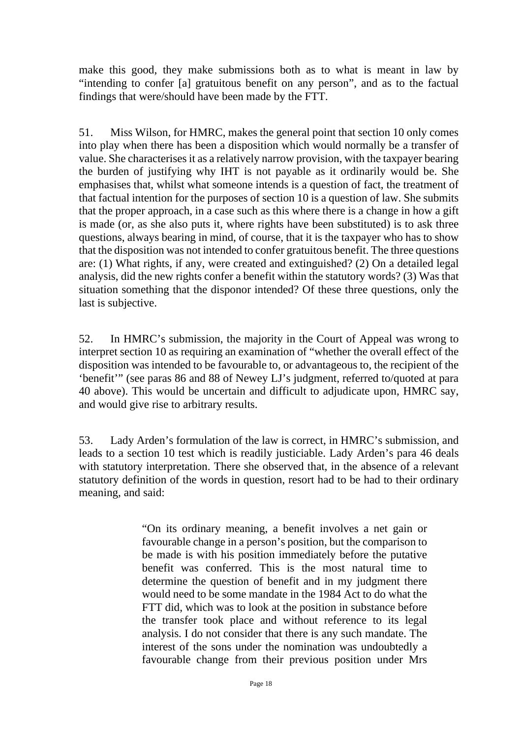make this good, they make submissions both as to what is meant in law by "intending to confer [a] gratuitous benefit on any person", and as to the factual findings that were/should have been made by the FTT.

51. Miss Wilson, for HMRC, makes the general point that section 10 only comes into play when there has been a disposition which would normally be a transfer of value. She characterises it as a relatively narrow provision, with the taxpayer bearing the burden of justifying why IHT is not payable as it ordinarily would be. She emphasises that, whilst what someone intends is a question of fact, the treatment of that factual intention for the purposes of section 10 is a question of law. She submits that the proper approach, in a case such as this where there is a change in how a gift is made (or, as she also puts it, where rights have been substituted) is to ask three questions, always bearing in mind, of course, that it is the taxpayer who has to show that the disposition was not intended to confer gratuitous benefit. The three questions are: (1) What rights, if any, were created and extinguished? (2) On a detailed legal analysis, did the new rights confer a benefit within the statutory words? (3) Was that situation something that the disponor intended? Of these three questions, only the last is subjective.

52. In HMRC's submission, the majority in the Court of Appeal was wrong to interpret section 10 as requiring an examination of "whether the overall effect of the disposition was intended to be favourable to, or advantageous to, the recipient of the 'benefit'" (see paras 86 and 88 of Newey LJ's judgment, referred to/quoted at para 40 above). This would be uncertain and difficult to adjudicate upon, HMRC say, and would give rise to arbitrary results.

53. Lady Arden's formulation of the law is correct, in HMRC's submission, and leads to a section 10 test which is readily justiciable. Lady Arden's para 46 deals with statutory interpretation. There she observed that, in the absence of a relevant statutory definition of the words in question, resort had to be had to their ordinary meaning, and said:

> "On its ordinary meaning, a benefit involves a net gain or favourable change in a person's position, but the comparison to be made is with his position immediately before the putative benefit was conferred. This is the most natural time to determine the question of benefit and in my judgment there would need to be some mandate in the 1984 Act to do what the FTT did, which was to look at the position in substance before the transfer took place and without reference to its legal analysis. I do not consider that there is any such mandate. The interest of the sons under the nomination was undoubtedly a favourable change from their previous position under Mrs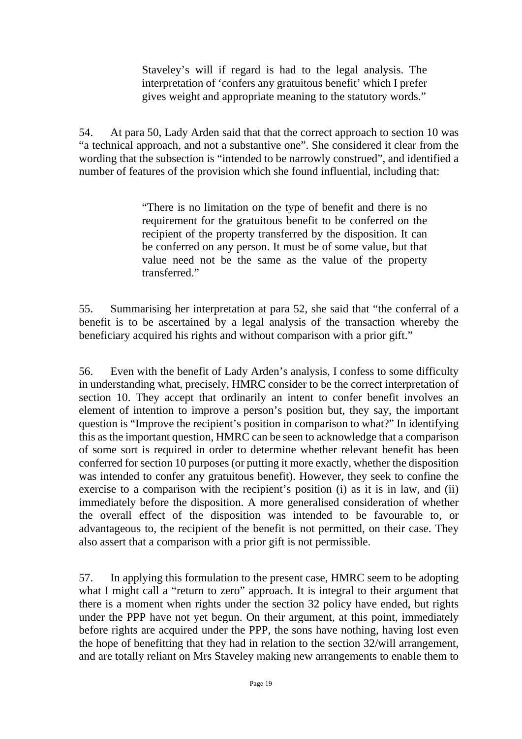Staveley's will if regard is had to the legal analysis. The interpretation of 'confers any gratuitous benefit' which I prefer gives weight and appropriate meaning to the statutory words."

54. At para 50, Lady Arden said that that the correct approach to section 10 was "a technical approach, and not a substantive one". She considered it clear from the wording that the subsection is "intended to be narrowly construed", and identified a number of features of the provision which she found influential, including that:

> "There is no limitation on the type of benefit and there is no requirement for the gratuitous benefit to be conferred on the recipient of the property transferred by the disposition. It can be conferred on any person. It must be of some value, but that value need not be the same as the value of the property transferred."

55. Summarising her interpretation at para 52, she said that "the conferral of a benefit is to be ascertained by a legal analysis of the transaction whereby the beneficiary acquired his rights and without comparison with a prior gift."

56. Even with the benefit of Lady Arden's analysis, I confess to some difficulty in understanding what, precisely, HMRC consider to be the correct interpretation of section 10. They accept that ordinarily an intent to confer benefit involves an element of intention to improve a person's position but, they say, the important question is "Improve the recipient's position in comparison to what?" In identifying this as the important question, HMRC can be seen to acknowledge that a comparison of some sort is required in order to determine whether relevant benefit has been conferred for section 10 purposes (or putting it more exactly, whether the disposition was intended to confer any gratuitous benefit). However, they seek to confine the exercise to a comparison with the recipient's position (i) as it is in law, and (ii) immediately before the disposition. A more generalised consideration of whether the overall effect of the disposition was intended to be favourable to, or advantageous to, the recipient of the benefit is not permitted, on their case. They also assert that a comparison with a prior gift is not permissible.

57. In applying this formulation to the present case, HMRC seem to be adopting what I might call a "return to zero" approach. It is integral to their argument that there is a moment when rights under the section 32 policy have ended, but rights under the PPP have not yet begun. On their argument, at this point, immediately before rights are acquired under the PPP, the sons have nothing, having lost even the hope of benefitting that they had in relation to the section 32/will arrangement, and are totally reliant on Mrs Staveley making new arrangements to enable them to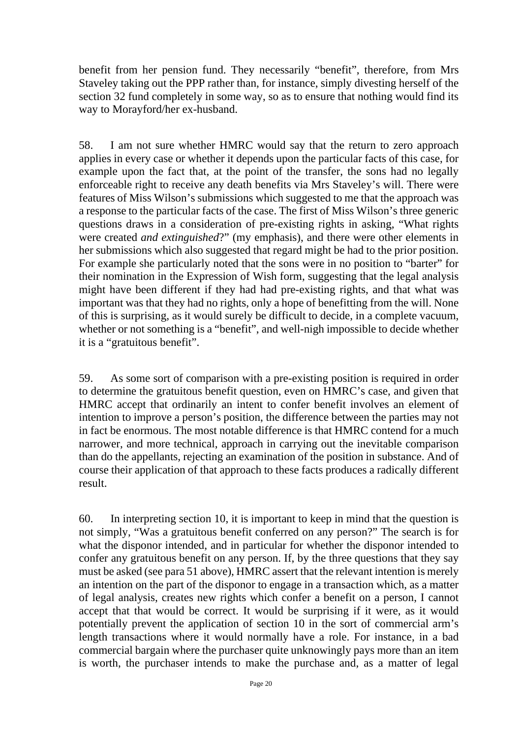benefit from her pension fund. They necessarily "benefit", therefore, from Mrs Staveley taking out the PPP rather than, for instance, simply divesting herself of the section 32 fund completely in some way, so as to ensure that nothing would find its way to Morayford/her ex-husband.

58. I am not sure whether HMRC would say that the return to zero approach applies in every case or whether it depends upon the particular facts of this case, for example upon the fact that, at the point of the transfer, the sons had no legally enforceable right to receive any death benefits via Mrs Staveley's will. There were features of Miss Wilson's submissions which suggested to me that the approach was a response to the particular facts of the case. The first of Miss Wilson's three generic questions draws in a consideration of pre-existing rights in asking, "What rights were created *and extinguished*?" (my emphasis), and there were other elements in her submissions which also suggested that regard might be had to the prior position. For example she particularly noted that the sons were in no position to "barter" for their nomination in the Expression of Wish form, suggesting that the legal analysis might have been different if they had had pre-existing rights, and that what was important was that they had no rights, only a hope of benefitting from the will. None of this is surprising, as it would surely be difficult to decide, in a complete vacuum, whether or not something is a "benefit", and well-nigh impossible to decide whether it is a "gratuitous benefit".

59. As some sort of comparison with a pre-existing position is required in order to determine the gratuitous benefit question, even on HMRC's case, and given that HMRC accept that ordinarily an intent to confer benefit involves an element of intention to improve a person's position, the difference between the parties may not in fact be enormous. The most notable difference is that HMRC contend for a much narrower, and more technical, approach in carrying out the inevitable comparison than do the appellants, rejecting an examination of the position in substance. And of course their application of that approach to these facts produces a radically different result.

60. In interpreting section 10, it is important to keep in mind that the question is not simply, "Was a gratuitous benefit conferred on any person?" The search is for what the disponor intended, and in particular for whether the disponor intended to confer any gratuitous benefit on any person. If, by the three questions that they say must be asked (see para 51 above), HMRC assert that the relevant intention is merely an intention on the part of the disponor to engage in a transaction which, as a matter of legal analysis, creates new rights which confer a benefit on a person, I cannot accept that that would be correct. It would be surprising if it were, as it would potentially prevent the application of section 10 in the sort of commercial arm's length transactions where it would normally have a role. For instance, in a bad commercial bargain where the purchaser quite unknowingly pays more than an item is worth, the purchaser intends to make the purchase and, as a matter of legal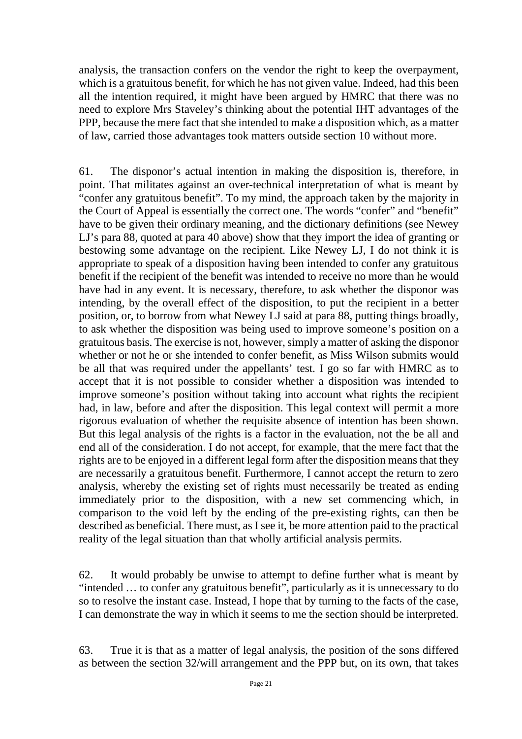analysis, the transaction confers on the vendor the right to keep the overpayment, which is a gratuitous benefit, for which he has not given value. Indeed, had this been all the intention required, it might have been argued by HMRC that there was no need to explore Mrs Staveley's thinking about the potential IHT advantages of the PPP, because the mere fact that she intended to make a disposition which, as a matter of law, carried those advantages took matters outside section 10 without more.

61. The disponor's actual intention in making the disposition is, therefore, in point. That militates against an over-technical interpretation of what is meant by "confer any gratuitous benefit". To my mind, the approach taken by the majority in the Court of Appeal is essentially the correct one. The words "confer" and "benefit" have to be given their ordinary meaning, and the dictionary definitions (see Newey LJ's para 88, quoted at para 40 above) show that they import the idea of granting or bestowing some advantage on the recipient. Like Newey LJ, I do not think it is appropriate to speak of a disposition having been intended to confer any gratuitous benefit if the recipient of the benefit was intended to receive no more than he would have had in any event. It is necessary, therefore, to ask whether the disponor was intending, by the overall effect of the disposition, to put the recipient in a better position, or, to borrow from what Newey LJ said at para 88, putting things broadly, to ask whether the disposition was being used to improve someone's position on a gratuitous basis. The exercise is not, however, simply a matter of asking the disponor whether or not he or she intended to confer benefit, as Miss Wilson submits would be all that was required under the appellants' test. I go so far with HMRC as to accept that it is not possible to consider whether a disposition was intended to improve someone's position without taking into account what rights the recipient had, in law, before and after the disposition. This legal context will permit a more rigorous evaluation of whether the requisite absence of intention has been shown. But this legal analysis of the rights is a factor in the evaluation, not the be all and end all of the consideration. I do not accept, for example, that the mere fact that the rights are to be enjoyed in a different legal form after the disposition means that they are necessarily a gratuitous benefit. Furthermore, I cannot accept the return to zero analysis, whereby the existing set of rights must necessarily be treated as ending immediately prior to the disposition, with a new set commencing which, in comparison to the void left by the ending of the pre-existing rights, can then be described as beneficial. There must, as I see it, be more attention paid to the practical reality of the legal situation than that wholly artificial analysis permits.

62. It would probably be unwise to attempt to define further what is meant by "intended … to confer any gratuitous benefit", particularly as it is unnecessary to do so to resolve the instant case. Instead, I hope that by turning to the facts of the case, I can demonstrate the way in which it seems to me the section should be interpreted.

63. True it is that as a matter of legal analysis, the position of the sons differed as between the section 32/will arrangement and the PPP but, on its own, that takes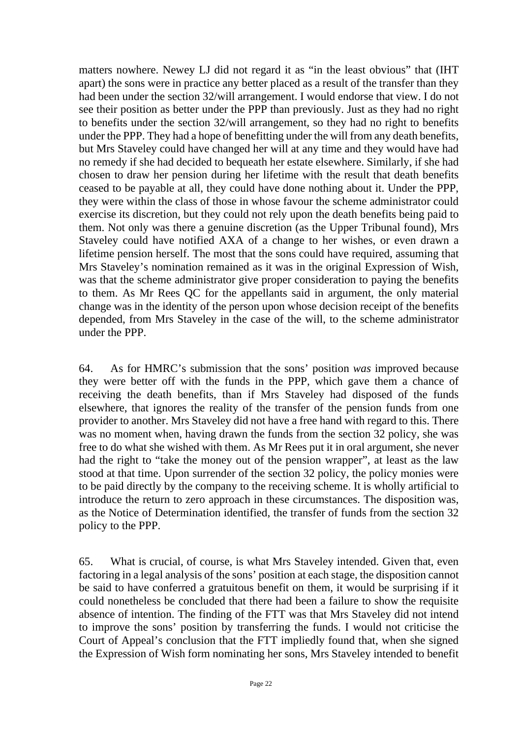matters nowhere. Newey LJ did not regard it as "in the least obvious" that (IHT apart) the sons were in practice any better placed as a result of the transfer than they had been under the section 32/will arrangement. I would endorse that view. I do not see their position as better under the PPP than previously. Just as they had no right to benefits under the section 32/will arrangement, so they had no right to benefits under the PPP. They had a hope of benefitting under the will from any death benefits, but Mrs Staveley could have changed her will at any time and they would have had no remedy if she had decided to bequeath her estate elsewhere. Similarly, if she had chosen to draw her pension during her lifetime with the result that death benefits ceased to be payable at all, they could have done nothing about it. Under the PPP, they were within the class of those in whose favour the scheme administrator could exercise its discretion, but they could not rely upon the death benefits being paid to them. Not only was there a genuine discretion (as the Upper Tribunal found), Mrs Staveley could have notified AXA of a change to her wishes, or even drawn a lifetime pension herself. The most that the sons could have required, assuming that Mrs Staveley's nomination remained as it was in the original Expression of Wish, was that the scheme administrator give proper consideration to paying the benefits to them. As Mr Rees QC for the appellants said in argument, the only material change was in the identity of the person upon whose decision receipt of the benefits depended, from Mrs Staveley in the case of the will, to the scheme administrator under the PPP.

64. As for HMRC's submission that the sons' position *was* improved because they were better off with the funds in the PPP, which gave them a chance of receiving the death benefits, than if Mrs Staveley had disposed of the funds elsewhere, that ignores the reality of the transfer of the pension funds from one provider to another. Mrs Staveley did not have a free hand with regard to this. There was no moment when, having drawn the funds from the section 32 policy, she was free to do what she wished with them. As Mr Rees put it in oral argument, she never had the right to "take the money out of the pension wrapper", at least as the law stood at that time. Upon surrender of the section 32 policy, the policy monies were to be paid directly by the company to the receiving scheme. It is wholly artificial to introduce the return to zero approach in these circumstances. The disposition was, as the Notice of Determination identified, the transfer of funds from the section 32 policy to the PPP.

65. What is crucial, of course, is what Mrs Staveley intended. Given that, even factoring in a legal analysis of the sons' position at each stage, the disposition cannot be said to have conferred a gratuitous benefit on them, it would be surprising if it could nonetheless be concluded that there had been a failure to show the requisite absence of intention. The finding of the FTT was that Mrs Staveley did not intend to improve the sons' position by transferring the funds. I would not criticise the Court of Appeal's conclusion that the FTT impliedly found that, when she signed the Expression of Wish form nominating her sons, Mrs Staveley intended to benefit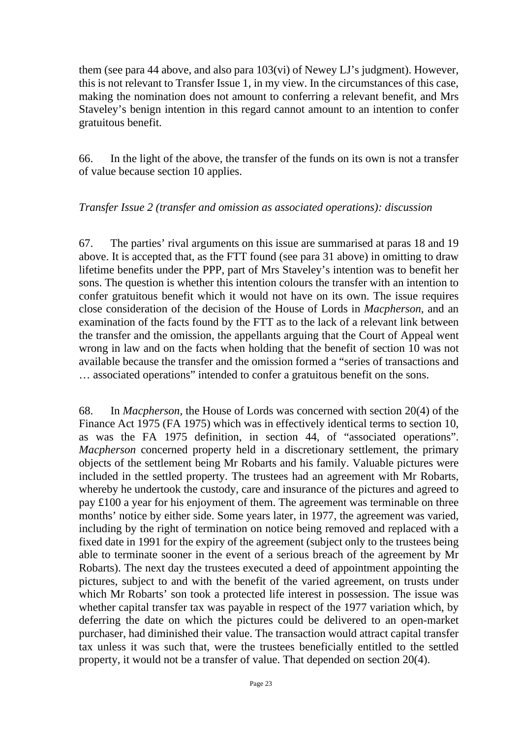them (see para 44 above, and also para 103(vi) of Newey LJ's judgment). However, this is not relevant to Transfer Issue 1, in my view. In the circumstances of this case, making the nomination does not amount to conferring a relevant benefit, and Mrs Staveley's benign intention in this regard cannot amount to an intention to confer gratuitous benefit.

66. In the light of the above, the transfer of the funds on its own is not a transfer of value because section 10 applies.

#### *Transfer Issue 2 (transfer and omission as associated operations): discussion*

67. The parties' rival arguments on this issue are summarised at paras 18 and 19 above. It is accepted that, as the FTT found (see para 31 above) in omitting to draw lifetime benefits under the PPP, part of Mrs Staveley's intention was to benefit her sons. The question is whether this intention colours the transfer with an intention to confer gratuitous benefit which it would not have on its own. The issue requires close consideration of the decision of the House of Lords in *Macpherson*, and an examination of the facts found by the FTT as to the lack of a relevant link between the transfer and the omission, the appellants arguing that the Court of Appeal went wrong in law and on the facts when holding that the benefit of section 10 was not available because the transfer and the omission formed a "series of transactions and … associated operations" intended to confer a gratuitous benefit on the sons.

68. In *Macpherson*, the House of Lords was concerned with section 20(4) of the Finance Act 1975 (FA 1975) which was in effectively identical terms to section 10, as was the FA 1975 definition, in section 44, of "associated operations". *Macpherson* concerned property held in a discretionary settlement, the primary objects of the settlement being Mr Robarts and his family. Valuable pictures were included in the settled property. The trustees had an agreement with Mr Robarts, whereby he undertook the custody, care and insurance of the pictures and agreed to pay £100 a year for his enjoyment of them. The agreement was terminable on three months' notice by either side. Some years later, in 1977, the agreement was varied, including by the right of termination on notice being removed and replaced with a fixed date in 1991 for the expiry of the agreement (subject only to the trustees being able to terminate sooner in the event of a serious breach of the agreement by Mr Robarts). The next day the trustees executed a deed of appointment appointing the pictures, subject to and with the benefit of the varied agreement, on trusts under which Mr Robarts' son took a protected life interest in possession. The issue was whether capital transfer tax was payable in respect of the 1977 variation which, by deferring the date on which the pictures could be delivered to an open-market purchaser, had diminished their value. The transaction would attract capital transfer tax unless it was such that, were the trustees beneficially entitled to the settled property, it would not be a transfer of value. That depended on section 20(4).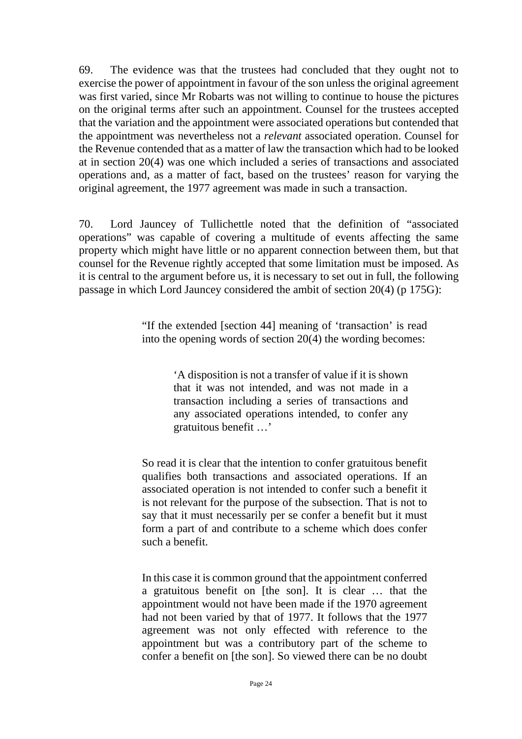69. The evidence was that the trustees had concluded that they ought not to exercise the power of appointment in favour of the son unless the original agreement was first varied, since Mr Robarts was not willing to continue to house the pictures on the original terms after such an appointment. Counsel for the trustees accepted that the variation and the appointment were associated operations but contended that the appointment was nevertheless not a *relevant* associated operation. Counsel for the Revenue contended that as a matter of law the transaction which had to be looked at in section 20(4) was one which included a series of transactions and associated operations and, as a matter of fact, based on the trustees' reason for varying the original agreement, the 1977 agreement was made in such a transaction.

70. Lord Jauncey of Tullichettle noted that the definition of "associated operations" was capable of covering a multitude of events affecting the same property which might have little or no apparent connection between them, but that counsel for the Revenue rightly accepted that some limitation must be imposed. As it is central to the argument before us, it is necessary to set out in full, the following passage in which Lord Jauncey considered the ambit of section 20(4) (p 175G):

> "If the extended [section 44] meaning of 'transaction' is read into the opening words of section 20(4) the wording becomes:

> > 'A disposition is not a transfer of value if it is shown that it was not intended, and was not made in a transaction including a series of transactions and any associated operations intended, to confer any gratuitous benefit …'

So read it is clear that the intention to confer gratuitous benefit qualifies both transactions and associated operations. If an associated operation is not intended to confer such a benefit it is not relevant for the purpose of the subsection. That is not to say that it must necessarily per se confer a benefit but it must form a part of and contribute to a scheme which does confer such a benefit.

In this case it is common ground that the appointment conferred a gratuitous benefit on [the son]. It is clear … that the appointment would not have been made if the 1970 agreement had not been varied by that of 1977. It follows that the 1977 agreement was not only effected with reference to the appointment but was a contributory part of the scheme to confer a benefit on [the son]. So viewed there can be no doubt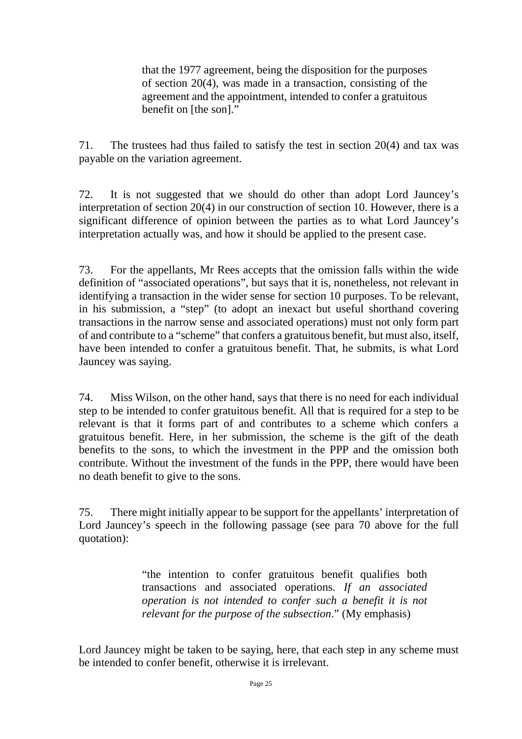that the 1977 agreement, being the disposition for the purposes of section 20(4), was made in a transaction, consisting of the agreement and the appointment, intended to confer a gratuitous benefit on [the son]."

71. The trustees had thus failed to satisfy the test in section 20(4) and tax was payable on the variation agreement.

72. It is not suggested that we should do other than adopt Lord Jauncey's interpretation of section 20(4) in our construction of section 10. However, there is a significant difference of opinion between the parties as to what Lord Jauncey's interpretation actually was, and how it should be applied to the present case.

73. For the appellants, Mr Rees accepts that the omission falls within the wide definition of "associated operations", but says that it is, nonetheless, not relevant in identifying a transaction in the wider sense for section 10 purposes. To be relevant, in his submission, a "step" (to adopt an inexact but useful shorthand covering transactions in the narrow sense and associated operations) must not only form part of and contribute to a "scheme" that confers a gratuitous benefit, but must also, itself, have been intended to confer a gratuitous benefit. That, he submits, is what Lord Jauncey was saying.

74. Miss Wilson, on the other hand, says that there is no need for each individual step to be intended to confer gratuitous benefit. All that is required for a step to be relevant is that it forms part of and contributes to a scheme which confers a gratuitous benefit. Here, in her submission, the scheme is the gift of the death benefits to the sons, to which the investment in the PPP and the omission both contribute. Without the investment of the funds in the PPP, there would have been no death benefit to give to the sons.

75. There might initially appear to be support for the appellants' interpretation of Lord Jauncey's speech in the following passage (see para 70 above for the full quotation):

> "the intention to confer gratuitous benefit qualifies both transactions and associated operations. *If an associated operation is not intended to confer such a benefit it is not relevant for the purpose of the subsection*." (My emphasis)

Lord Jauncey might be taken to be saying, here, that each step in any scheme must be intended to confer benefit, otherwise it is irrelevant.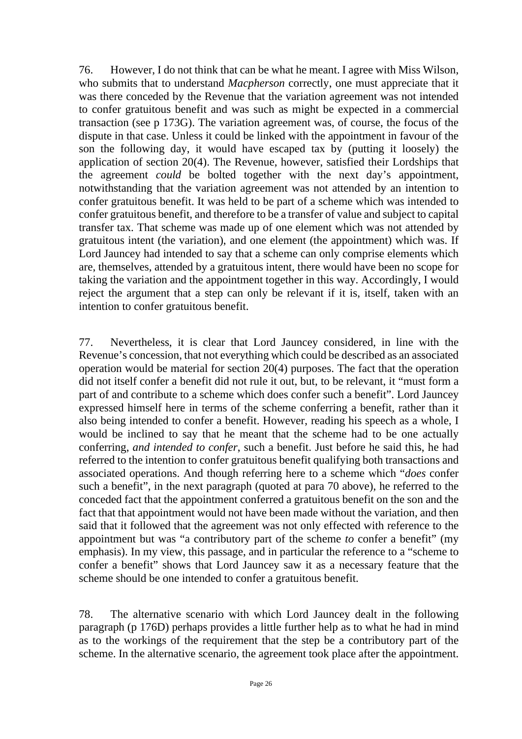76. However, I do not think that can be what he meant. I agree with Miss Wilson, who submits that to understand *Macpherson* correctly, one must appreciate that it was there conceded by the Revenue that the variation agreement was not intended to confer gratuitous benefit and was such as might be expected in a commercial transaction (see p 173G). The variation agreement was, of course, the focus of the dispute in that case. Unless it could be linked with the appointment in favour of the son the following day, it would have escaped tax by (putting it loosely) the application of section 20(4). The Revenue, however, satisfied their Lordships that the agreement *could* be bolted together with the next day's appointment, notwithstanding that the variation agreement was not attended by an intention to confer gratuitous benefit. It was held to be part of a scheme which was intended to confer gratuitous benefit, and therefore to be a transfer of value and subject to capital transfer tax. That scheme was made up of one element which was not attended by gratuitous intent (the variation), and one element (the appointment) which was. If Lord Jauncey had intended to say that a scheme can only comprise elements which are, themselves, attended by a gratuitous intent, there would have been no scope for taking the variation and the appointment together in this way. Accordingly, I would reject the argument that a step can only be relevant if it is, itself, taken with an intention to confer gratuitous benefit.

77. Nevertheless, it is clear that Lord Jauncey considered, in line with the Revenue's concession, that not everything which could be described as an associated operation would be material for section 20(4) purposes. The fact that the operation did not itself confer a benefit did not rule it out, but, to be relevant, it "must form a part of and contribute to a scheme which does confer such a benefit". Lord Jauncey expressed himself here in terms of the scheme conferring a benefit, rather than it also being intended to confer a benefit. However, reading his speech as a whole, I would be inclined to say that he meant that the scheme had to be one actually conferring, *and intended to confer*, such a benefit. Just before he said this, he had referred to the intention to confer gratuitous benefit qualifying both transactions and associated operations. And though referring here to a scheme which "*does* confer such a benefit", in the next paragraph (quoted at para 70 above), he referred to the conceded fact that the appointment conferred a gratuitous benefit on the son and the fact that that appointment would not have been made without the variation, and then said that it followed that the agreement was not only effected with reference to the appointment but was "a contributory part of the scheme *to* confer a benefit" (my emphasis). In my view, this passage, and in particular the reference to a "scheme to confer a benefit" shows that Lord Jauncey saw it as a necessary feature that the scheme should be one intended to confer a gratuitous benefit.

78. The alternative scenario with which Lord Jauncey dealt in the following paragraph (p 176D) perhaps provides a little further help as to what he had in mind as to the workings of the requirement that the step be a contributory part of the scheme. In the alternative scenario, the agreement took place after the appointment.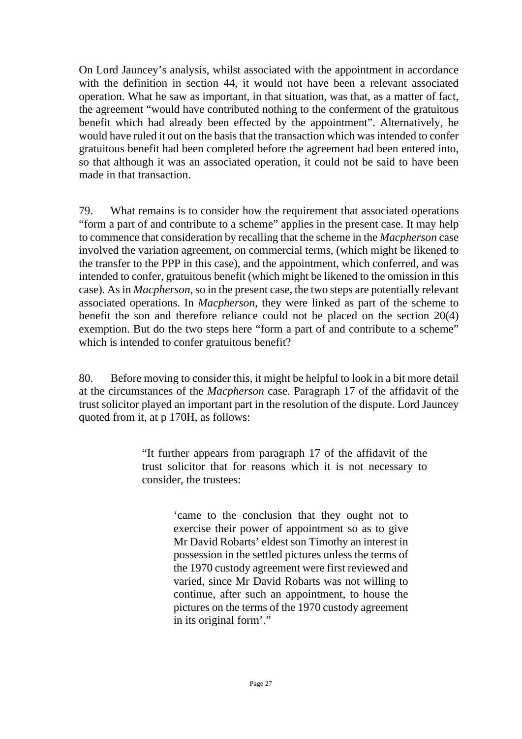On Lord Jauncey's analysis, whilst associated with the appointment in accordance with the definition in section 44, it would not have been a relevant associated operation. What he saw as important, in that situation, was that, as a matter of fact, the agreement "would have contributed nothing to the conferment of the gratuitous benefit which had already been effected by the appointment". Alternatively, he would have ruled it out on the basis that the transaction which was intended to confer gratuitous benefit had been completed before the agreement had been entered into, so that although it was an associated operation, it could not be said to have been made in that transaction.

79. What remains is to consider how the requirement that associated operations "form a part of and contribute to a scheme" applies in the present case. It may help to commence that consideration by recalling that the scheme in the *Macpherson* case involved the variation agreement, on commercial terms, (which might be likened to the transfer to the PPP in this case), and the appointment, which conferred, and was intended to confer, gratuitous benefit (which might be likened to the omission in this case). As in *Macpherson*, so in the present case, the two steps are potentially relevant associated operations. In *Macpherson*, they were linked as part of the scheme to benefit the son and therefore reliance could not be placed on the section 20(4) exemption. But do the two steps here "form a part of and contribute to a scheme" which is intended to confer gratuitous benefit?

80. Before moving to consider this, it might be helpful to look in a bit more detail at the circumstances of the *Macpherson* case. Paragraph 17 of the affidavit of the trust solicitor played an important part in the resolution of the dispute. Lord Jauncey quoted from it, at p 170H, as follows:

> "It further appears from paragraph 17 of the affidavit of the trust solicitor that for reasons which it is not necessary to consider, the trustees:

> > 'came to the conclusion that they ought not to exercise their power of appointment so as to give Mr David Robarts' eldest son Timothy an interest in possession in the settled pictures unless the terms of the 1970 custody agreement were first reviewed and varied, since Mr David Robarts was not willing to continue, after such an appointment, to house the pictures on the terms of the 1970 custody agreement in its original form'."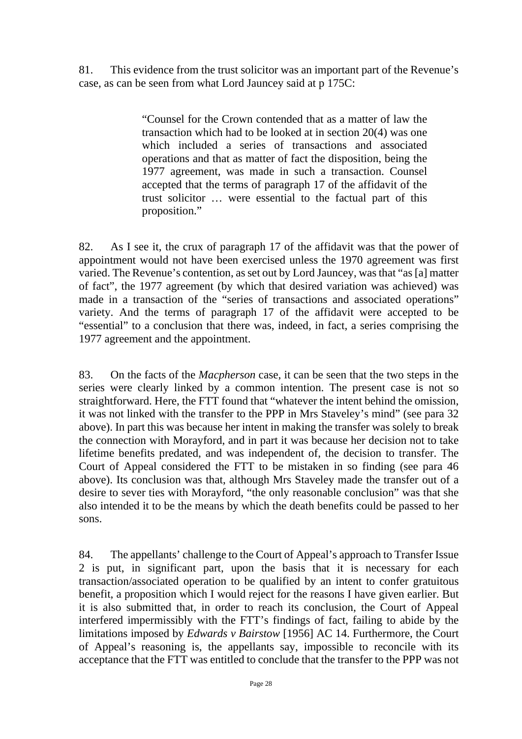81. This evidence from the trust solicitor was an important part of the Revenue's case, as can be seen from what Lord Jauncey said at p 175C:

> "Counsel for the Crown contended that as a matter of law the transaction which had to be looked at in section 20(4) was one which included a series of transactions and associated operations and that as matter of fact the disposition, being the 1977 agreement, was made in such a transaction. Counsel accepted that the terms of paragraph 17 of the affidavit of the trust solicitor … were essential to the factual part of this proposition."

82. As I see it, the crux of paragraph 17 of the affidavit was that the power of appointment would not have been exercised unless the 1970 agreement was first varied. The Revenue's contention, as set out by Lord Jauncey, wasthat "as [a] matter of fact", the 1977 agreement (by which that desired variation was achieved) was made in a transaction of the "series of transactions and associated operations" variety. And the terms of paragraph 17 of the affidavit were accepted to be "essential" to a conclusion that there was, indeed, in fact, a series comprising the 1977 agreement and the appointment.

83. On the facts of the *Macpherson* case, it can be seen that the two steps in the series were clearly linked by a common intention. The present case is not so straightforward. Here, the FTT found that "whatever the intent behind the omission, it was not linked with the transfer to the PPP in Mrs Staveley's mind" (see para 32 above). In part this was because her intent in making the transfer was solely to break the connection with Morayford, and in part it was because her decision not to take lifetime benefits predated, and was independent of, the decision to transfer. The Court of Appeal considered the FTT to be mistaken in so finding (see para 46 above). Its conclusion was that, although Mrs Staveley made the transfer out of a desire to sever ties with Morayford, "the only reasonable conclusion" was that she also intended it to be the means by which the death benefits could be passed to her sons.

84. The appellants' challenge to the Court of Appeal's approach to Transfer Issue 2 is put, in significant part, upon the basis that it is necessary for each transaction/associated operation to be qualified by an intent to confer gratuitous benefit, a proposition which I would reject for the reasons I have given earlier. But it is also submitted that, in order to reach its conclusion, the Court of Appeal interfered impermissibly with the FTT's findings of fact, failing to abide by the limitations imposed by *Edwards v Bairstow* [1956] AC 14. Furthermore, the Court of Appeal's reasoning is, the appellants say, impossible to reconcile with its acceptance that the FTT was entitled to conclude that the transfer to the PPP was not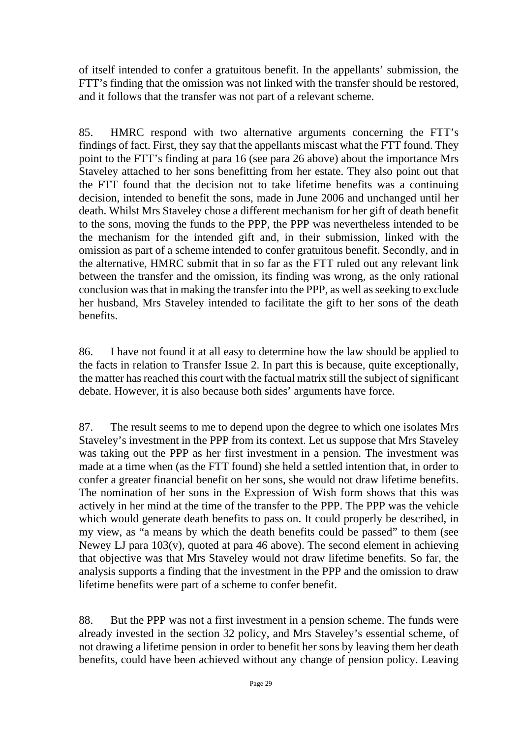of itself intended to confer a gratuitous benefit. In the appellants' submission, the FTT's finding that the omission was not linked with the transfer should be restored, and it follows that the transfer was not part of a relevant scheme.

85. HMRC respond with two alternative arguments concerning the FTT's findings of fact. First, they say that the appellants miscast what the FTT found. They point to the FTT's finding at para 16 (see para 26 above) about the importance Mrs Staveley attached to her sons benefitting from her estate. They also point out that the FTT found that the decision not to take lifetime benefits was a continuing decision, intended to benefit the sons, made in June 2006 and unchanged until her death. Whilst Mrs Staveley chose a different mechanism for her gift of death benefit to the sons, moving the funds to the PPP, the PPP was nevertheless intended to be the mechanism for the intended gift and, in their submission, linked with the omission as part of a scheme intended to confer gratuitous benefit. Secondly, and in the alternative, HMRC submit that in so far as the FTT ruled out any relevant link between the transfer and the omission, its finding was wrong, as the only rational conclusion was that in making the transfer into the PPP, as well as seeking to exclude her husband, Mrs Staveley intended to facilitate the gift to her sons of the death benefits.

86. I have not found it at all easy to determine how the law should be applied to the facts in relation to Transfer Issue 2. In part this is because, quite exceptionally, the matter has reached this court with the factual matrix still the subject of significant debate. However, it is also because both sides' arguments have force.

87. The result seems to me to depend upon the degree to which one isolates Mrs Staveley's investment in the PPP from its context. Let us suppose that Mrs Staveley was taking out the PPP as her first investment in a pension. The investment was made at a time when (as the FTT found) she held a settled intention that, in order to confer a greater financial benefit on her sons, she would not draw lifetime benefits. The nomination of her sons in the Expression of Wish form shows that this was actively in her mind at the time of the transfer to the PPP. The PPP was the vehicle which would generate death benefits to pass on. It could properly be described, in my view, as "a means by which the death benefits could be passed" to them (see Newey LJ para 103(v), quoted at para 46 above). The second element in achieving that objective was that Mrs Staveley would not draw lifetime benefits. So far, the analysis supports a finding that the investment in the PPP and the omission to draw lifetime benefits were part of a scheme to confer benefit.

88. But the PPP was not a first investment in a pension scheme. The funds were already invested in the section 32 policy, and Mrs Staveley's essential scheme, of not drawing a lifetime pension in order to benefit her sons by leaving them her death benefits, could have been achieved without any change of pension policy. Leaving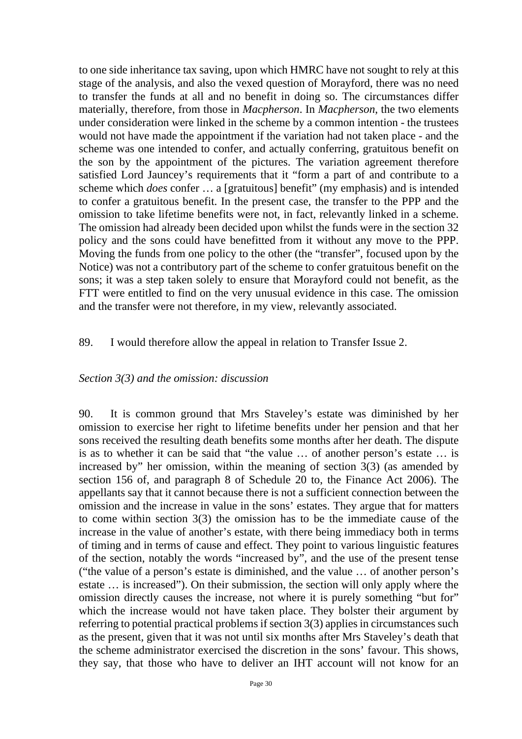to one side inheritance tax saving, upon which HMRC have not sought to rely at this stage of the analysis, and also the vexed question of Morayford, there was no need to transfer the funds at all and no benefit in doing so. The circumstances differ materially, therefore, from those in *Macpherson*. In *Macpherson*, the two elements under consideration were linked in the scheme by a common intention - the trustees would not have made the appointment if the variation had not taken place - and the scheme was one intended to confer, and actually conferring, gratuitous benefit on the son by the appointment of the pictures. The variation agreement therefore satisfied Lord Jauncey's requirements that it "form a part of and contribute to a scheme which *does* confer … a [gratuitous] benefit" (my emphasis) and is intended to confer a gratuitous benefit. In the present case, the transfer to the PPP and the omission to take lifetime benefits were not, in fact, relevantly linked in a scheme. The omission had already been decided upon whilst the funds were in the section 32 policy and the sons could have benefitted from it without any move to the PPP. Moving the funds from one policy to the other (the "transfer", focused upon by the Notice) was not a contributory part of the scheme to confer gratuitous benefit on the sons; it was a step taken solely to ensure that Morayford could not benefit, as the FTT were entitled to find on the very unusual evidence in this case. The omission and the transfer were not therefore, in my view, relevantly associated.

#### 89. I would therefore allow the appeal in relation to Transfer Issue 2.

#### *Section 3(3) and the omission: discussion*

90. It is common ground that Mrs Staveley's estate was diminished by her omission to exercise her right to lifetime benefits under her pension and that her sons received the resulting death benefits some months after her death. The dispute is as to whether it can be said that "the value … of another person's estate … is increased by" her omission, within the meaning of section 3(3) (as amended by section 156 of, and paragraph 8 of Schedule 20 to, the Finance Act 2006). The appellants say that it cannot because there is not a sufficient connection between the omission and the increase in value in the sons' estates. They argue that for matters to come within section 3(3) the omission has to be the immediate cause of the increase in the value of another's estate, with there being immediacy both in terms of timing and in terms of cause and effect. They point to various linguistic features of the section, notably the words "increased by", and the use of the present tense ("the value of a person's estate is diminished, and the value … of another person's estate … is increased"). On their submission, the section will only apply where the omission directly causes the increase, not where it is purely something "but for" which the increase would not have taken place. They bolster their argument by referring to potential practical problems if section 3(3) applies in circumstances such as the present, given that it was not until six months after Mrs Staveley's death that the scheme administrator exercised the discretion in the sons' favour. This shows, they say, that those who have to deliver an IHT account will not know for an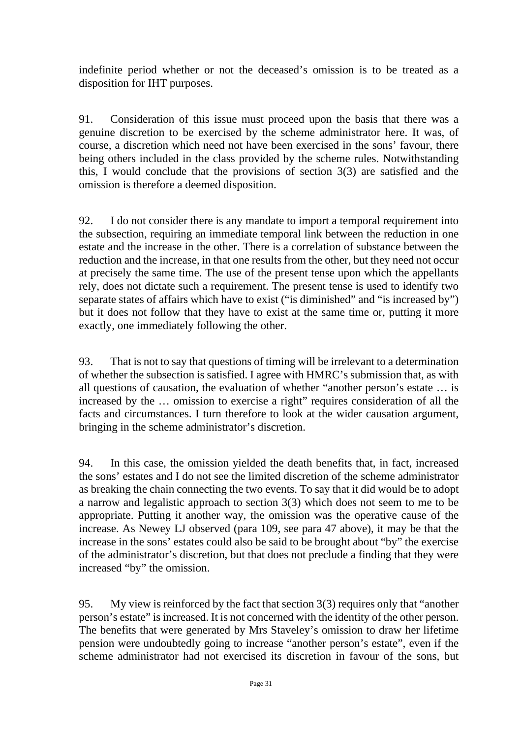indefinite period whether or not the deceased's omission is to be treated as a disposition for IHT purposes.

91. Consideration of this issue must proceed upon the basis that there was a genuine discretion to be exercised by the scheme administrator here. It was, of course, a discretion which need not have been exercised in the sons' favour, there being others included in the class provided by the scheme rules. Notwithstanding this, I would conclude that the provisions of section 3(3) are satisfied and the omission is therefore a deemed disposition.

92. I do not consider there is any mandate to import a temporal requirement into the subsection, requiring an immediate temporal link between the reduction in one estate and the increase in the other. There is a correlation of substance between the reduction and the increase, in that one results from the other, but they need not occur at precisely the same time. The use of the present tense upon which the appellants rely, does not dictate such a requirement. The present tense is used to identify two separate states of affairs which have to exist ("is diminished" and "is increased by") but it does not follow that they have to exist at the same time or, putting it more exactly, one immediately following the other.

93. That is not to say that questions of timing will be irrelevant to a determination of whether the subsection is satisfied. I agree with HMRC's submission that, as with all questions of causation, the evaluation of whether "another person's estate … is increased by the … omission to exercise a right" requires consideration of all the facts and circumstances. I turn therefore to look at the wider causation argument, bringing in the scheme administrator's discretion.

94. In this case, the omission yielded the death benefits that, in fact, increased the sons' estates and I do not see the limited discretion of the scheme administrator as breaking the chain connecting the two events. To say that it did would be to adopt a narrow and legalistic approach to section 3(3) which does not seem to me to be appropriate. Putting it another way, the omission was the operative cause of the increase. As Newey LJ observed (para 109, see para 47 above), it may be that the increase in the sons' estates could also be said to be brought about "by" the exercise of the administrator's discretion, but that does not preclude a finding that they were increased "by" the omission.

95. My view is reinforced by the fact that section 3(3) requires only that "another person's estate" is increased. It is not concerned with the identity of the other person. The benefits that were generated by Mrs Staveley's omission to draw her lifetime pension were undoubtedly going to increase "another person's estate", even if the scheme administrator had not exercised its discretion in favour of the sons, but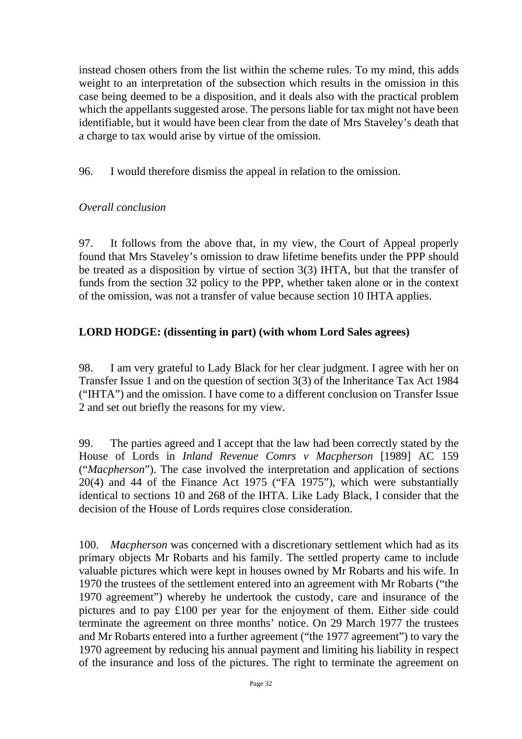instead chosen others from the list within the scheme rules. To my mind, this adds weight to an interpretation of the subsection which results in the omission in this case being deemed to be a disposition, and it deals also with the practical problem which the appellants suggested arose. The persons liable for tax might not have been identifiable, but it would have been clear from the date of Mrs Staveley's death that a charge to tax would arise by virtue of the omission.

96. I would therefore dismiss the appeal in relation to the omission.

## *Overall conclusion*

97. It follows from the above that, in my view, the Court of Appeal properly found that Mrs Staveley's omission to draw lifetime benefits under the PPP should be treated as a disposition by virtue of section 3(3) IHTA, but that the transfer of funds from the section 32 policy to the PPP, whether taken alone or in the context of the omission, was not a transfer of value because section 10 IHTA applies.

# **LORD HODGE: (dissenting in part) (with whom Lord Sales agrees)**

98. I am very grateful to Lady Black for her clear judgment. I agree with her on Transfer Issue 1 and on the question of section 3(3) of the Inheritance Tax Act 1984 ("IHTA") and the omission. I have come to a different conclusion on Transfer Issue 2 and set out briefly the reasons for my view.

99. The parties agreed and I accept that the law had been correctly stated by the House of Lords in *Inland Revenue Comrs v Macpherson* [1989] AC 159 ("*Macpherson*"). The case involved the interpretation and application of sections 20(4) and 44 of the Finance Act 1975 ("FA 1975"), which were substantially identical to sections 10 and 268 of the IHTA. Like Lady Black, I consider that the decision of the House of Lords requires close consideration.

100. *Macpherson* was concerned with a discretionary settlement which had as its primary objects Mr Robarts and his family. The settled property came to include valuable pictures which were kept in houses owned by Mr Robarts and his wife. In 1970 the trustees of the settlement entered into an agreement with Mr Robarts ("the 1970 agreement") whereby he undertook the custody, care and insurance of the pictures and to pay £100 per year for the enjoyment of them. Either side could terminate the agreement on three months' notice. On 29 March 1977 the trustees and Mr Robarts entered into a further agreement ("the 1977 agreement") to vary the 1970 agreement by reducing his annual payment and limiting his liability in respect of the insurance and loss of the pictures. The right to terminate the agreement on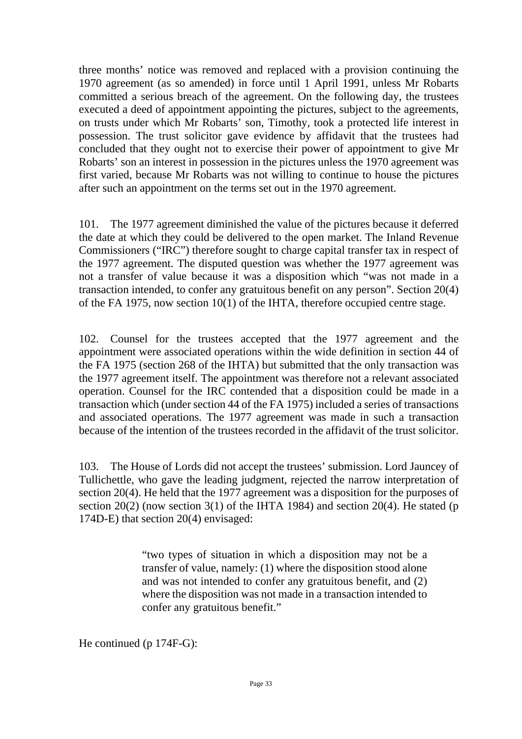three months' notice was removed and replaced with a provision continuing the 1970 agreement (as so amended) in force until 1 April 1991, unless Mr Robarts committed a serious breach of the agreement. On the following day, the trustees executed a deed of appointment appointing the pictures, subject to the agreements, on trusts under which Mr Robarts' son, Timothy, took a protected life interest in possession. The trust solicitor gave evidence by affidavit that the trustees had concluded that they ought not to exercise their power of appointment to give Mr Robarts' son an interest in possession in the pictures unless the 1970 agreement was first varied, because Mr Robarts was not willing to continue to house the pictures after such an appointment on the terms set out in the 1970 agreement.

101. The 1977 agreement diminished the value of the pictures because it deferred the date at which they could be delivered to the open market. The Inland Revenue Commissioners ("IRC") therefore sought to charge capital transfer tax in respect of the 1977 agreement. The disputed question was whether the 1977 agreement was not a transfer of value because it was a disposition which "was not made in a transaction intended, to confer any gratuitous benefit on any person". Section 20(4) of the FA 1975, now section 10(1) of the IHTA, therefore occupied centre stage.

102. Counsel for the trustees accepted that the 1977 agreement and the appointment were associated operations within the wide definition in section 44 of the FA 1975 (section 268 of the IHTA) but submitted that the only transaction was the 1977 agreement itself. The appointment was therefore not a relevant associated operation. Counsel for the IRC contended that a disposition could be made in a transaction which (under section 44 of the FA 1975) included a series of transactions and associated operations. The 1977 agreement was made in such a transaction because of the intention of the trustees recorded in the affidavit of the trust solicitor.

103. The House of Lords did not accept the trustees' submission. Lord Jauncey of Tullichettle, who gave the leading judgment, rejected the narrow interpretation of section 20(4). He held that the 1977 agreement was a disposition for the purposes of section 20(2) (now section 3(1) of the IHTA 1984) and section 20(4). He stated (p 174D-E) that section 20(4) envisaged:

> "two types of situation in which a disposition may not be a transfer of value, namely: (1) where the disposition stood alone and was not intended to confer any gratuitous benefit, and (2) where the disposition was not made in a transaction intended to confer any gratuitous benefit."

He continued (p 174F-G):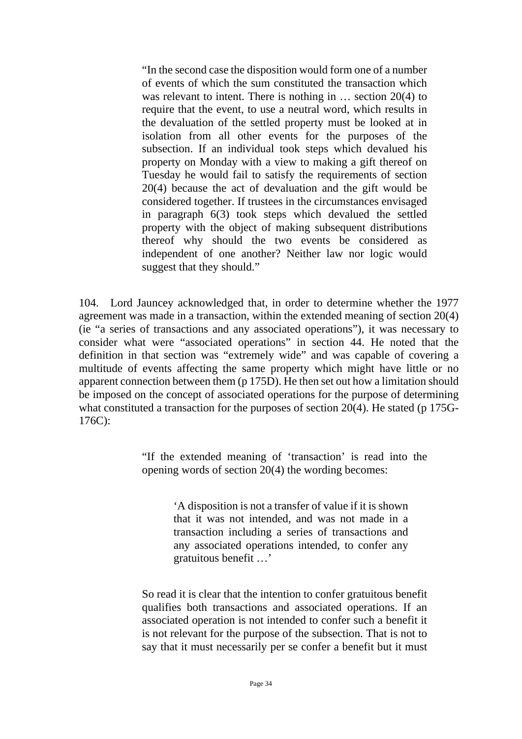"In the second case the disposition would form one of a number of events of which the sum constituted the transaction which was relevant to intent. There is nothing in … section 20(4) to require that the event, to use a neutral word, which results in the devaluation of the settled property must be looked at in isolation from all other events for the purposes of the subsection. If an individual took steps which devalued his property on Monday with a view to making a gift thereof on Tuesday he would fail to satisfy the requirements of section 20(4) because the act of devaluation and the gift would be considered together. If trustees in the circumstances envisaged in paragraph 6(3) took steps which devalued the settled property with the object of making subsequent distributions thereof why should the two events be considered as independent of one another? Neither law nor logic would suggest that they should."

104. Lord Jauncey acknowledged that, in order to determine whether the 1977 agreement was made in a transaction, within the extended meaning of section 20(4) (ie "a series of transactions and any associated operations"), it was necessary to consider what were "associated operations" in section 44. He noted that the definition in that section was "extremely wide" and was capable of covering a multitude of events affecting the same property which might have little or no apparent connection between them (p 175D). He then set out how a limitation should be imposed on the concept of associated operations for the purpose of determining what constituted a transaction for the purposes of section 20(4). He stated (p 175G-176C):

> "If the extended meaning of 'transaction' is read into the opening words of section 20(4) the wording becomes:

> > 'A disposition is not a transfer of value if it is shown that it was not intended, and was not made in a transaction including a series of transactions and any associated operations intended, to confer any gratuitous benefit …'

So read it is clear that the intention to confer gratuitous benefit qualifies both transactions and associated operations. If an associated operation is not intended to confer such a benefit it is not relevant for the purpose of the subsection. That is not to say that it must necessarily per se confer a benefit but it must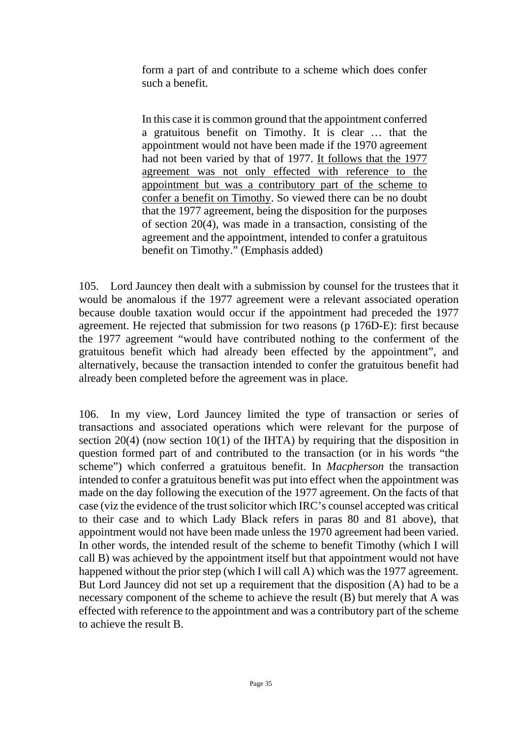form a part of and contribute to a scheme which does confer such a benefit.

In this case it is common ground that the appointment conferred a gratuitous benefit on Timothy. It is clear … that the appointment would not have been made if the 1970 agreement had not been varied by that of 1977. It follows that the 1977 agreement was not only effected with reference to the appointment but was a contributory part of the scheme to confer a benefit on Timothy. So viewed there can be no doubt that the 1977 agreement, being the disposition for the purposes of section 20(4), was made in a transaction, consisting of the agreement and the appointment, intended to confer a gratuitous benefit on Timothy." (Emphasis added)

105. Lord Jauncey then dealt with a submission by counsel for the trustees that it would be anomalous if the 1977 agreement were a relevant associated operation because double taxation would occur if the appointment had preceded the 1977 agreement. He rejected that submission for two reasons (p 176D-E): first because the 1977 agreement "would have contributed nothing to the conferment of the gratuitous benefit which had already been effected by the appointment", and alternatively, because the transaction intended to confer the gratuitous benefit had already been completed before the agreement was in place.

106. In my view, Lord Jauncey limited the type of transaction or series of transactions and associated operations which were relevant for the purpose of section 20(4) (now section 10(1) of the IHTA) by requiring that the disposition in question formed part of and contributed to the transaction (or in his words "the scheme") which conferred a gratuitous benefit. In *Macpherson* the transaction intended to confer a gratuitous benefit was put into effect when the appointment was made on the day following the execution of the 1977 agreement. On the facts of that case (viz the evidence of the trust solicitor which IRC's counsel accepted was critical to their case and to which Lady Black refers in paras 80 and 81 above), that appointment would not have been made unless the 1970 agreement had been varied. In other words, the intended result of the scheme to benefit Timothy (which I will call B) was achieved by the appointment itself but that appointment would not have happened without the prior step (which I will call A) which was the 1977 agreement. But Lord Jauncey did not set up a requirement that the disposition (A) had to be a necessary component of the scheme to achieve the result (B) but merely that A was effected with reference to the appointment and was a contributory part of the scheme to achieve the result B.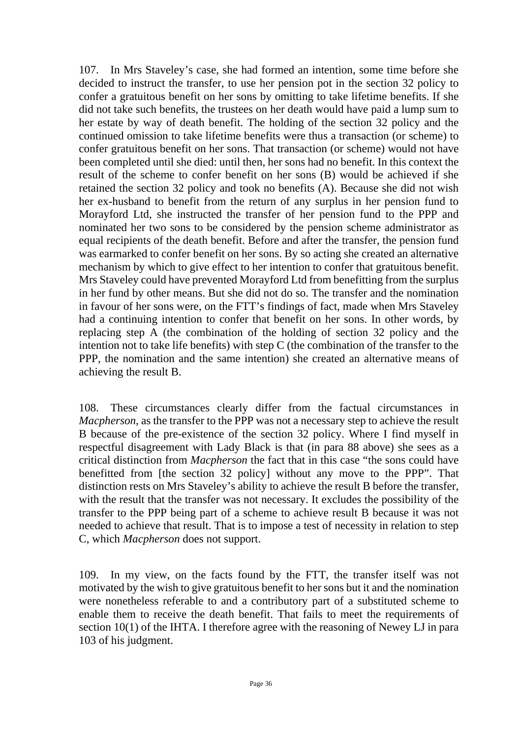107. In Mrs Staveley's case, she had formed an intention, some time before she decided to instruct the transfer, to use her pension pot in the section 32 policy to confer a gratuitous benefit on her sons by omitting to take lifetime benefits. If she did not take such benefits, the trustees on her death would have paid a lump sum to her estate by way of death benefit. The holding of the section 32 policy and the continued omission to take lifetime benefits were thus a transaction (or scheme) to confer gratuitous benefit on her sons. That transaction (or scheme) would not have been completed until she died: until then, her sons had no benefit. In this context the result of the scheme to confer benefit on her sons (B) would be achieved if she retained the section 32 policy and took no benefits (A). Because she did not wish her ex-husband to benefit from the return of any surplus in her pension fund to Morayford Ltd, she instructed the transfer of her pension fund to the PPP and nominated her two sons to be considered by the pension scheme administrator as equal recipients of the death benefit. Before and after the transfer, the pension fund was earmarked to confer benefit on her sons. By so acting she created an alternative mechanism by which to give effect to her intention to confer that gratuitous benefit. Mrs Staveley could have prevented Morayford Ltd from benefitting from the surplus in her fund by other means. But she did not do so. The transfer and the nomination in favour of her sons were, on the FTT's findings of fact, made when Mrs Staveley had a continuing intention to confer that benefit on her sons. In other words, by replacing step A (the combination of the holding of section 32 policy and the intention not to take life benefits) with step C (the combination of the transfer to the PPP, the nomination and the same intention) she created an alternative means of achieving the result B.

108. These circumstances clearly differ from the factual circumstances in *Macpherson*, as the transfer to the PPP was not a necessary step to achieve the result B because of the pre-existence of the section 32 policy. Where I find myself in respectful disagreement with Lady Black is that (in para 88 above) she sees as a critical distinction from *Macpherson* the fact that in this case "the sons could have benefitted from [the section 32 policy] without any move to the PPP". That distinction rests on Mrs Staveley's ability to achieve the result B before the transfer, with the result that the transfer was not necessary. It excludes the possibility of the transfer to the PPP being part of a scheme to achieve result B because it was not needed to achieve that result. That is to impose a test of necessity in relation to step C, which *Macpherson* does not support.

109. In my view, on the facts found by the FTT, the transfer itself was not motivated by the wish to give gratuitous benefit to her sons but it and the nomination were nonetheless referable to and a contributory part of a substituted scheme to enable them to receive the death benefit. That fails to meet the requirements of section 10(1) of the IHTA. I therefore agree with the reasoning of Newey LJ in para 103 of his judgment.